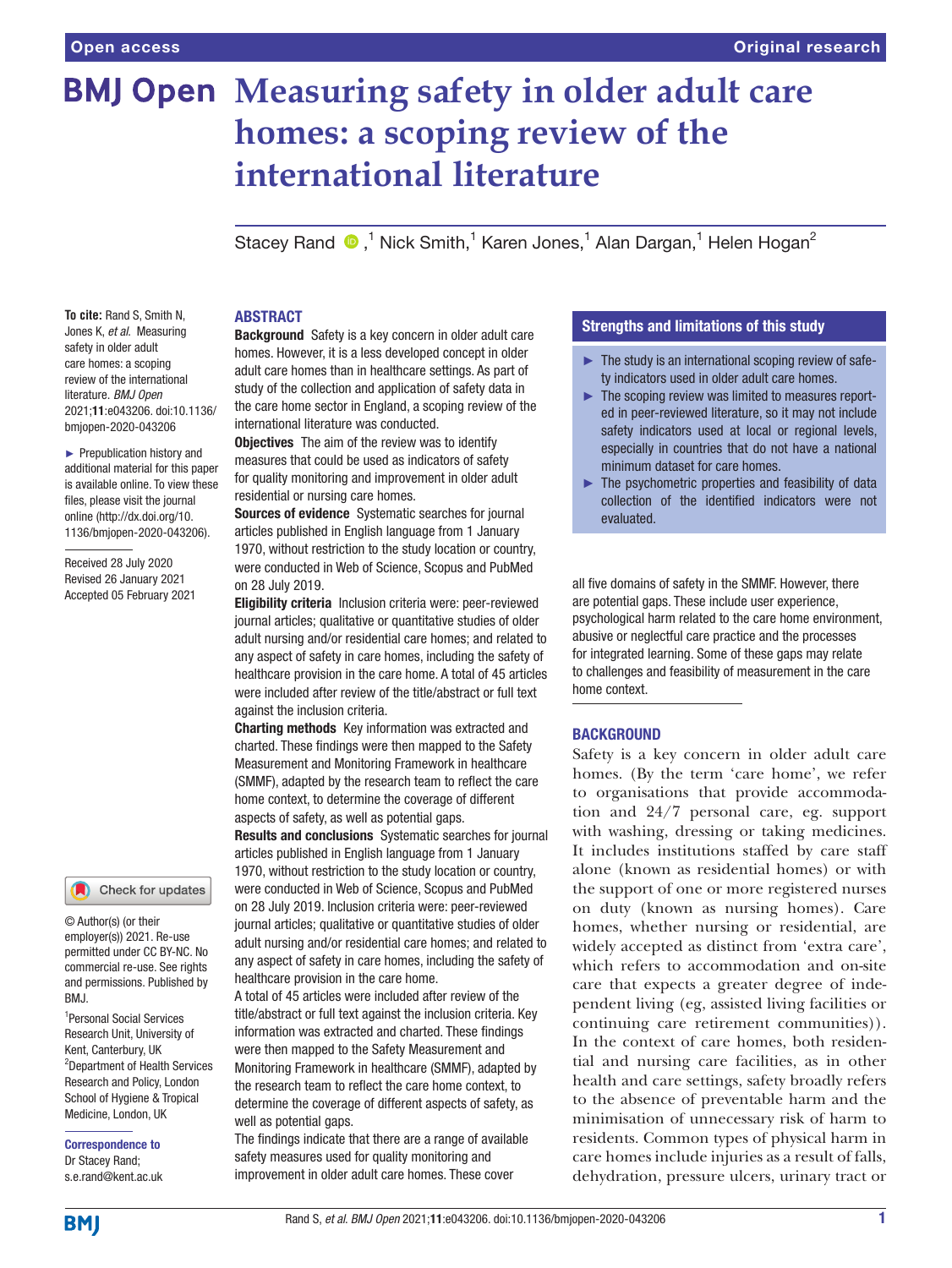# **BMJ Open Measuring safety in older adult care homes: a scoping review of the international literature**

Stacey Rand  $\bigcirc$ ,<sup>1</sup> Nick Smith,<sup>1</sup> Karen Jones,<sup>1</sup> Alan Dargan,<sup>1</sup> Helen Hogan<sup>2</sup>

#### **To cite:** Rand S, Smith N, Jones K, *et al*. Measuring safety in older adult care homes: a scoping review of the international literature. *BMJ Open* 2021;11:e043206. doi:10.1136/ bmjopen-2020-043206

► Prepublication history and additional material for this paper is available online. To view these files, please visit the journal online (http://dx.doi.org/10. 1136/bmjopen-2020-043206).

Received 28 July 2020 Revised 26 January 2021 Accepted 05 February 2021

#### Check for updates

© Author(s) (or their employer(s)) 2021. Re-use permitted under CC BY-NC. No commercial re-use. See rights and permissions. Published by RM<sub>J</sub>

1 Personal Social Services Research Unit, University of Kent, Canterbury, UK 2 Department of Health Services Research and Policy, London School of Hygiene & Tropical Medicine, London, UK

Correspondence to Dr Stacey Rand; s.e.rand@kent.ac.uk

# ABSTRACT

Background Safety is a key concern in older adult care homes. However, it is a less developed concept in older adult care homes than in healthcare settings. As part of study of the collection and application of safety data in the care home sector in England, a scoping review of the international literature was conducted.

**Objectives** The aim of the review was to identify measures that could be used as indicators of safety for quality monitoring and improvement in older adult residential or nursing care homes.

Sources of evidence Systematic searches for journal articles published in English language from 1 January 1970, without restriction to the study location or country, were conducted in Web of Science, Scopus and PubMed on 28 July 2019.

Eligibility criteria Inclusion criteria were: peer-reviewed journal articles; qualitative or quantitative studies of older adult nursing and/or residential care homes; and related to any aspect of safety in care homes, including the safety of healthcare provision in the care home. A total of 45 articles were included after review of the title/abstract or full text against the inclusion criteria.

Charting methods Key information was extracted and charted. These findings were then mapped to the Safety Measurement and Monitoring Framework in healthcare (SMMF), adapted by the research team to reflect the care home context, to determine the coverage of different aspects of safety, as well as potential gaps.

Results and conclusions Systematic searches for journal articles published in English language from 1 January 1970, without restriction to the study location or country, were conducted in Web of Science, Scopus and PubMed on 28 July 2019. Inclusion criteria were: peer-reviewed journal articles; qualitative or quantitative studies of older adult nursing and/or residential care homes; and related to

any aspect of safety in care homes, including the safety of healthcare provision in the care home.

A total of 45 articles were included after review of the title/abstract or full text against the inclusion criteria. Key information was extracted and charted. These findings were then mapped to the Safety Measurement and Monitoring Framework in healthcare (SMMF), adapted by the research team to reflect the care home context, to determine the coverage of different aspects of safety, as well as potential gaps.

The findings indicate that there are a range of available safety measures used for quality monitoring and improvement in older adult care homes. These cover

# Strengths and limitations of this study

- ► The study is an international scoping review of safety indicators used in older adult care homes.
- ► The scoping review was limited to measures reported in peer-reviewed literature, so it may not include safety indicators used at local or regional levels, especially in countries that do not have a national minimum dataset for care homes.
- ► The psychometric properties and feasibility of data collection of the identified indicators were not evaluated.

all five domains of safety in the SMMF. However, there are potential gaps. These include user experience, psychological harm related to the care home environment, abusive or neglectful care practice and the processes for integrated learning. Some of these gaps may relate to challenges and feasibility of measurement in the care home context.

# **BACKGROUND**

Safety is a key concern in older adult care homes. (By the term 'care home', we refer to organisations that provide accommodation and 24/7 personal care, eg. support with washing, dressing or taking medicines. It includes institutions staffed by care staff alone (known as residential homes) or with the support of one or more registered nurses on duty (known as nursing homes). Care homes, whether nursing or residential, are widely accepted as distinct from 'extra care', which refers to accommodation and on-site care that expects a greater degree of independent living (eg, assisted living facilities or continuing care retirement communities)). In the context of care homes, both residential and nursing care facilities, as in other health and care settings, safety broadly refers to the absence of preventable harm and the minimisation of unnecessary risk of harm to residents. Common types of physical harm in care homes include injuries as a result of falls, dehydration, pressure ulcers, urinary tract or

**BMI**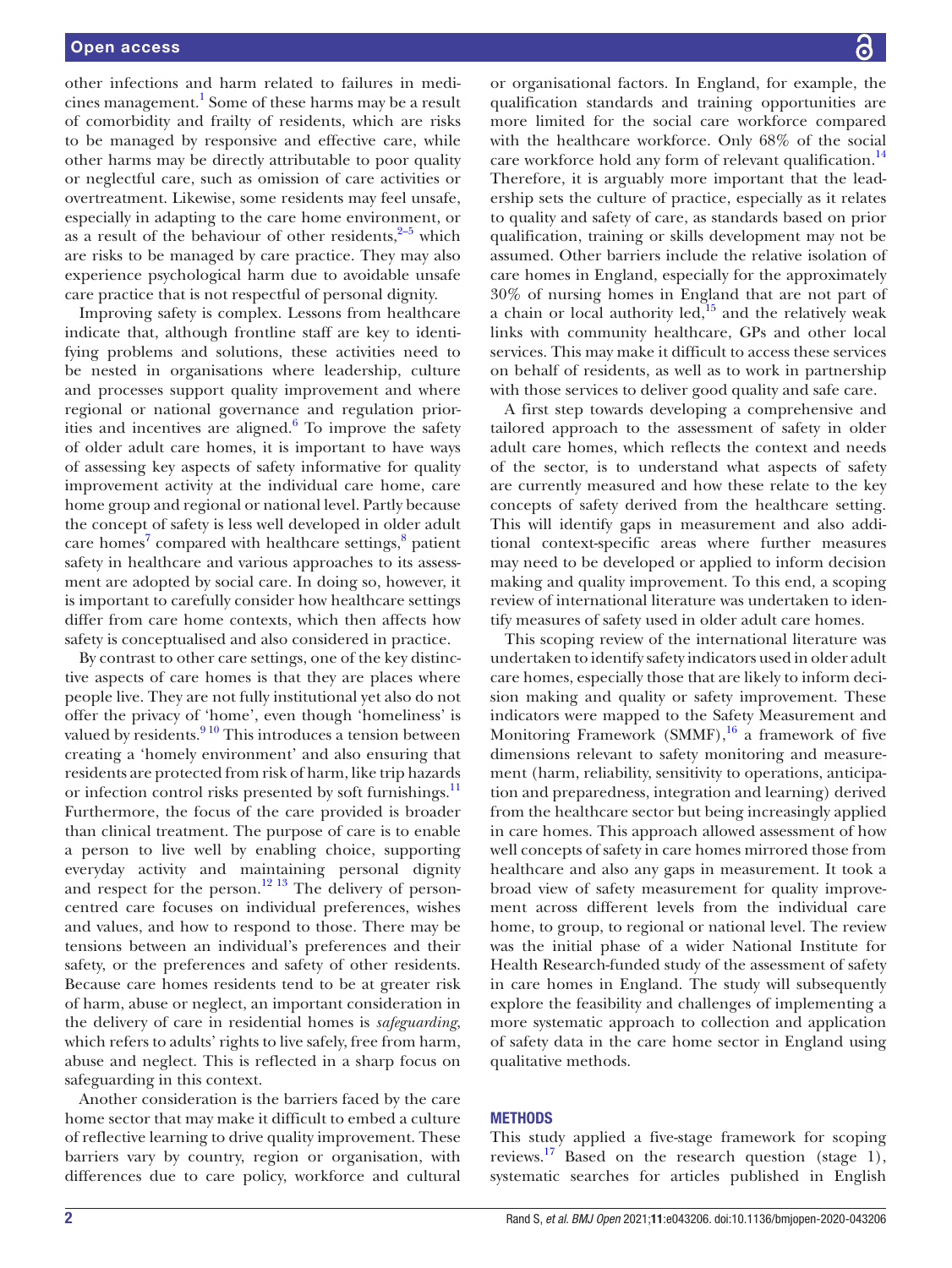other infections and harm related to failures in medi-cines management.<sup>[1](#page-10-0)</sup> Some of these harms may be a result of comorbidity and frailty of residents, which are risks to be managed by responsive and effective care, while other harms may be directly attributable to poor quality or neglectful care, such as omission of care activities or overtreatment. Likewise, some residents may feel unsafe, especially in adapting to the care home environment, or as a result of the behaviour of other residents, $2-5$  which are risks to be managed by care practice. They may also experience psychological harm due to avoidable unsafe care practice that is not respectful of personal dignity.

Improving safety is complex. Lessons from healthcare indicate that, although frontline staff are key to identifying problems and solutions, these activities need to be nested in organisations where leadership, culture and processes support quality improvement and where regional or national governance and regulation priorities and incentives are aligned. $6$  To improve the safety of older adult care homes, it is important to have ways of assessing key aspects of safety informative for quality improvement activity at the individual care home, care home group and regional or national level. Partly because the concept of safety is less well developed in older adult care homes<sup>[7](#page-10-3)</sup> compared with healthcare settings,<sup>[8](#page-10-4)</sup> patient safety in healthcare and various approaches to its assessment are adopted by social care. In doing so, however, it is important to carefully consider how healthcare settings differ from care home contexts, which then affects how safety is conceptualised and also considered in practice.

By contrast to other care settings, one of the key distinctive aspects of care homes is that they are places where people live. They are not fully institutional yet also do not offer the privacy of 'home', even though 'homeliness' is valued by residents. $\frac{910}{910}$  This introduces a tension between creating a 'homely environment' and also ensuring that residents are protected from risk of harm, like trip hazards or infection control risks presented by soft furnishings.<sup>[11](#page-10-6)</sup> Furthermore, the focus of the care provided is broader than clinical treatment. The purpose of care is to enable a person to live well by enabling choice, supporting everyday activity and maintaining personal dignity and respect for the person.<sup>12 13</sup> The delivery of personcentred care focuses on individual preferences, wishes and values, and how to respond to those. There may be tensions between an individual's preferences and their safety, or the preferences and safety of other residents. Because care homes residents tend to be at greater risk of harm, abuse or neglect, an important consideration in the delivery of care in residential homes is *safeguarding*, which refers to adults' rights to live safely, free from harm, abuse and neglect. This is reflected in a sharp focus on safeguarding in this context.

Another consideration is the barriers faced by the care home sector that may make it difficult to embed a culture of reflective learning to drive quality improvement. These barriers vary by country, region or organisation, with differences due to care policy, workforce and cultural

or organisational factors. In England, for example, the qualification standards and training opportunities are more limited for the social care workforce compared with the healthcare workforce. Only 68% of the social care workforce hold any form of relevant qualification.<sup>[14](#page-10-8)</sup> Therefore, it is arguably more important that the leadership sets the culture of practice, especially as it relates to quality and safety of care, as standards based on prior qualification, training or skills development may not be assumed. Other barriers include the relative isolation of care homes in England, especially for the approximately 30% of nursing homes in England that are not part of a chain or local authority led, $\frac{15}{15}$  and the relatively weak links with community healthcare, GPs and other local services. This may make it difficult to access these services on behalf of residents, as well as to work in partnership with those services to deliver good quality and safe care.

A first step towards developing a comprehensive and tailored approach to the assessment of safety in older adult care homes, which reflects the context and needs of the sector, is to understand what aspects of safety are currently measured and how these relate to the key concepts of safety derived from the healthcare setting. This will identify gaps in measurement and also additional context-specific areas where further measures may need to be developed or applied to inform decision making and quality improvement. To this end, a scoping review of international literature was undertaken to identify measures of safety used in older adult care homes.

This scoping review of the international literature was undertaken to identify safety indicators used in older adult care homes, especially those that are likely to inform decision making and quality or safety improvement. These indicators were mapped to the Safety Measurement and Monitoring Framework (SMMF), $^{16}$  a framework of five dimensions relevant to safety monitoring and measurement (harm, reliability, sensitivity to operations, anticipation and preparedness, integration and learning) derived from the healthcare sector but being increasingly applied in care homes. This approach allowed assessment of how well concepts of safety in care homes mirrored those from healthcare and also any gaps in measurement. It took a broad view of safety measurement for quality improvement across different levels from the individual care home, to group, to regional or national level. The review was the initial phase of a wider National Institute for Health Research-funded study of the assessment of safety in care homes in England. The study will subsequently explore the feasibility and challenges of implementing a more systematic approach to collection and application of safety data in the care home sector in England using qualitative methods.

#### METHODS

This study applied a five-stage framework for scoping reviews.<sup>[17](#page-11-0)</sup> Based on the research question (stage 1), systematic searches for articles published in English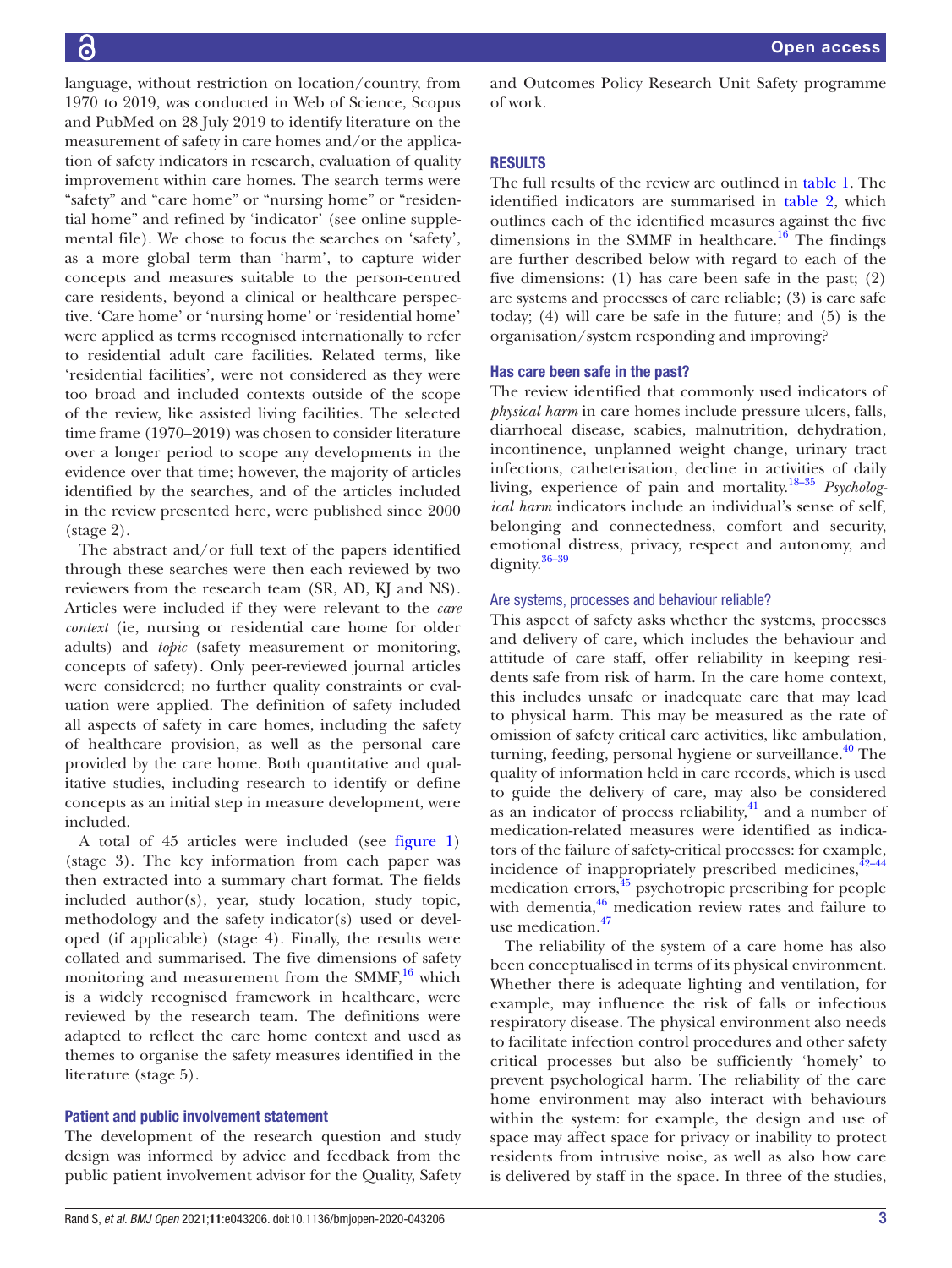language, without restriction on location/country, from 1970 to 2019, was conducted in Web of Science, Scopus and PubMed on 28 July 2019 to identify literature on the measurement of safety in care homes and/or the application of safety indicators in research, evaluation of quality improvement within care homes. The search terms were "safety" and "care home" or "nursing home" or "residential home" and refined by 'indicator' (see [online supple](https://dx.doi.org/10.1136/bmjopen-2020-043206)[mental file](https://dx.doi.org/10.1136/bmjopen-2020-043206)). We chose to focus the searches on 'safety', as a more global term than 'harm', to capture wider concepts and measures suitable to the person-centred care residents, beyond a clinical or healthcare perspective. 'Care home' or 'nursing home' or 'residential home' were applied as terms recognised internationally to refer to residential adult care facilities. Related terms, like 'residential facilities', were not considered as they were too broad and included contexts outside of the scope of the review, like assisted living facilities. The selected time frame (1970–2019) was chosen to consider literature over a longer period to scope any developments in the evidence over that time; however, the majority of articles identified by the searches, and of the articles included in the review presented here, were published since 2000 (stage 2).

The abstract and/or full text of the papers identified through these searches were then each reviewed by two reviewers from the research team (SR, AD, KJ and NS). Articles were included if they were relevant to the *care context* (ie, nursing or residential care home for older adults) and *topic* (safety measurement or monitoring, concepts of safety). Only peer-reviewed journal articles were considered; no further quality constraints or evaluation were applied. The definition of safety included all aspects of safety in care homes, including the safety of healthcare provision, as well as the personal care provided by the care home. Both quantitative and qualitative studies, including research to identify or define concepts as an initial step in measure development, were included.

A total of 45 articles were included (see [figure](#page-3-0) 1) (stage 3). The key information from each paper was then extracted into a summary chart format. The fields included author(s), year, study location, study topic, methodology and the safety indicator(s) used or developed (if applicable) (stage 4). Finally, the results were collated and summarised. The five dimensions of safety monitoring and measurement from the  $SMMF$ ,<sup>16</sup> which is a widely recognised framework in healthcare, were reviewed by the research team. The definitions were adapted to reflect the care home context and used as themes to organise the safety measures identified in the literature (stage 5).

## Patient and public involvement statement

The development of the research question and study design was informed by advice and feedback from the public patient involvement advisor for the Quality, Safety and Outcomes Policy Research Unit Safety programme of work.

# RESULTS

The full results of the review are outlined in [table](#page-4-0) 1. The identified indicators are summarised in [table](#page-8-0) 2, which outlines each of the identified measures against the five dimensions in the SMMF in healthcare.<sup>16</sup> The findings are further described below with regard to each of the five dimensions: (1) has care been safe in the past; (2) are systems and processes of care reliable; (3) is care safe today; (4) will care be safe in the future; and (5) is the organisation/system responding and improving?

# Has care been safe in the past?

The review identified that commonly used indicators of *physical harm* in care homes include pressure ulcers, falls, diarrhoeal disease, scabies, malnutrition, dehydration, incontinence, unplanned weight change, urinary tract infections, catheterisation, decline in activities of daily living, experience of pain and mortality[.18–35](#page-11-1) *Psychological harm* indicators include an individual's sense of self, belonging and connectedness, comfort and security, emotional distress, privacy, respect and autonomy, and dignity. $36-39$ 

## Are systems, processes and behaviour reliable?

This aspect of safety asks whether the systems, processes and delivery of care, which includes the behaviour and attitude of care staff, offer reliability in keeping residents safe from risk of harm. In the care home context, this includes unsafe or inadequate care that may lead to physical harm. This may be measured as the rate of omission of safety critical care activities, like ambulation, turning, feeding, personal hygiene or surveillance. $40$  The quality of information held in care records, which is used to guide the delivery of care, may also be considered as an indicator of process reliability, $41$  and a number of medication-related measures were identified as indicators of the failure of safety-critical processes: for example, incidence of inappropriately prescribed medicines,  $42-44$ medication errors,[45](#page-11-6) psychotropic prescribing for people with dementia, $46$  medication review rates and failure to use medication.<sup>[47](#page-11-8)</sup>

The reliability of the system of a care home has also been conceptualised in terms of its physical environment. Whether there is adequate lighting and ventilation, for example, may influence the risk of falls or infectious respiratory disease. The physical environment also needs to facilitate infection control procedures and other safety critical processes but also be sufficiently 'homely' to prevent psychological harm. The reliability of the care home environment may also interact with behaviours within the system: for example, the design and use of space may affect space for privacy or inability to protect residents from intrusive noise, as well as also how care is delivered by staff in the space. In three of the studies,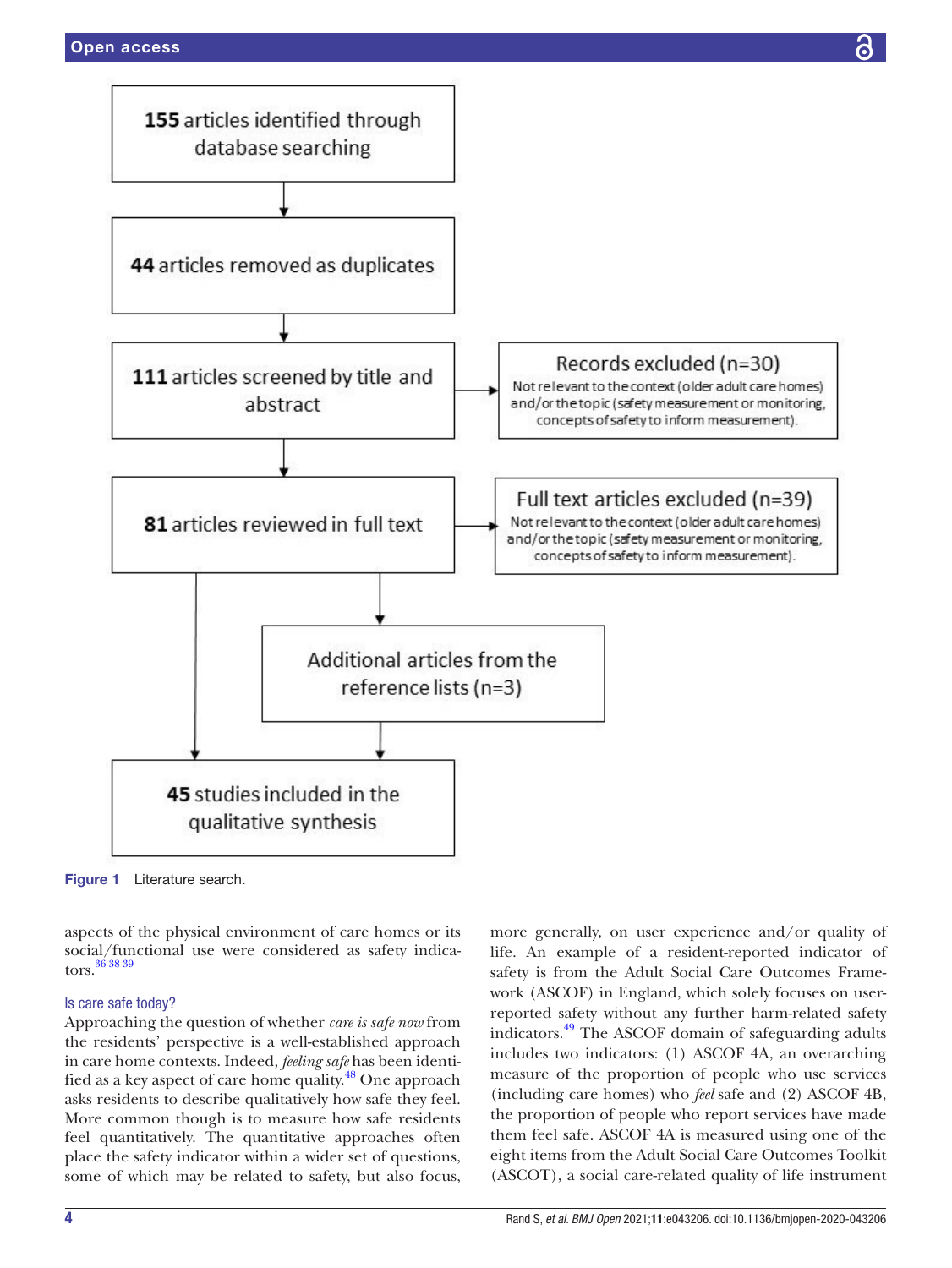

<span id="page-3-0"></span>Figure 1 Literature search.

aspects of the physical environment of care homes or its social/functional use were considered as safety indicators[.36 38 39](#page-11-2)

# Is care safe today?

Approaching the question of whether *care is safe now* from the residents' perspective is a well-established approach in care home contexts. Indeed, *feeling safe* has been identified as a key aspect of care home quality.<sup>48</sup> One approach asks residents to describe qualitatively how safe they feel. More common though is to measure how safe residents feel quantitatively. The quantitative approaches often place the safety indicator within a wider set of questions, some of which may be related to safety, but also focus,

more generally, on user experience and/or quality of life. An example of a resident-reported indicator of safety is from the Adult Social Care Outcomes Framework (ASCOF) in England, which solely focuses on userreported safety without any further harm-related safety indicators.[49](#page-11-10) The ASCOF domain of safeguarding adults includes two indicators: (1) ASCOF 4A, an overarching measure of the proportion of people who use services (including care homes) who *feel* safe and (2) ASCOF 4B, the proportion of people who report services have made them feel safe. ASCOF 4A is measured using one of the eight items from the Adult Social Care Outcomes Toolkit (ASCOT), a social care-related quality of life instrument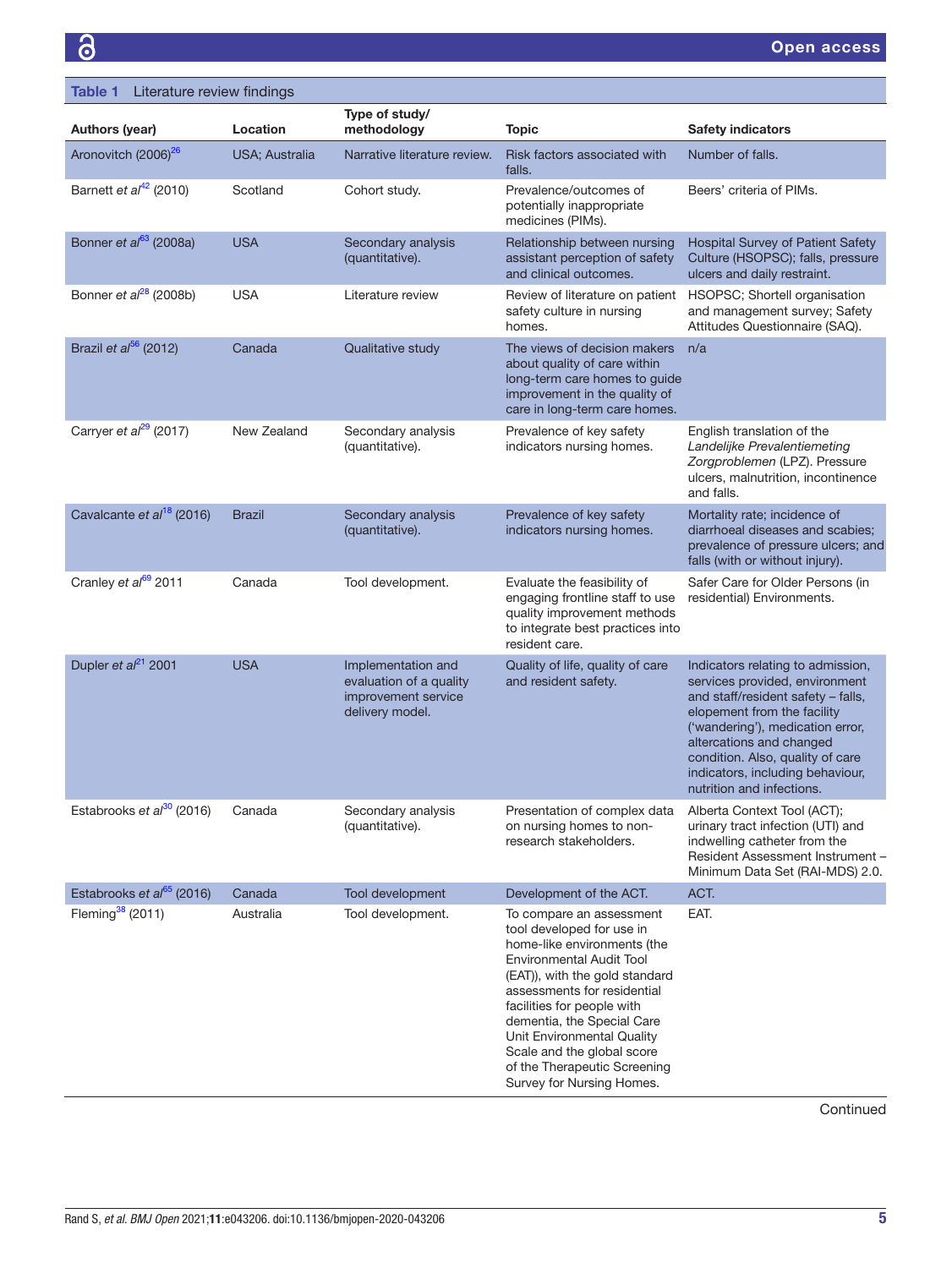<span id="page-4-0"></span>

| Table 1<br>Literature review findings |                |                                                                                         |                                                                                                                                                                                                                                                                                                                                                                               |                                                                                                                                                                                                                                                                                                               |
|---------------------------------------|----------------|-----------------------------------------------------------------------------------------|-------------------------------------------------------------------------------------------------------------------------------------------------------------------------------------------------------------------------------------------------------------------------------------------------------------------------------------------------------------------------------|---------------------------------------------------------------------------------------------------------------------------------------------------------------------------------------------------------------------------------------------------------------------------------------------------------------|
| Authors (year)                        | Location       | Type of study/<br>methodology                                                           | <b>Topic</b>                                                                                                                                                                                                                                                                                                                                                                  | <b>Safety indicators</b>                                                                                                                                                                                                                                                                                      |
| Aronovitch (2006) <sup>26</sup>       | USA; Australia | Narrative literature review.                                                            | Risk factors associated with<br>falls.                                                                                                                                                                                                                                                                                                                                        | Number of falls.                                                                                                                                                                                                                                                                                              |
| Barnett et al <sup>42</sup> (2010)    | Scotland       | Cohort study.                                                                           | Prevalence/outcomes of<br>potentially inappropriate<br>medicines (PIMs).                                                                                                                                                                                                                                                                                                      | Beers' criteria of PIMs.                                                                                                                                                                                                                                                                                      |
| Bonner et al <sup>63</sup> (2008a)    | <b>USA</b>     | Secondary analysis<br>(quantitative).                                                   | Relationship between nursing<br>assistant perception of safety<br>and clinical outcomes.                                                                                                                                                                                                                                                                                      | Hospital Survey of Patient Safety<br>Culture (HSOPSC); falls, pressure<br>ulcers and daily restraint.                                                                                                                                                                                                         |
| Bonner et $al^{28}$ (2008b)           | <b>USA</b>     | Literature review                                                                       | Review of literature on patient<br>safety culture in nursing<br>homes.                                                                                                                                                                                                                                                                                                        | HSOPSC; Shortell organisation<br>and management survey; Safety<br>Attitudes Questionnaire (SAQ).                                                                                                                                                                                                              |
| Brazil et al <sup>56</sup> (2012)     | Canada         | Qualitative study                                                                       | The views of decision makers<br>about quality of care within<br>long-term care homes to guide<br>improvement in the quality of<br>care in long-term care homes.                                                                                                                                                                                                               | n/a                                                                                                                                                                                                                                                                                                           |
| Carryer et al <sup>29</sup> (2017)    | New Zealand    | Secondary analysis<br>(quantitative).                                                   | Prevalence of key safety<br>indicators nursing homes.                                                                                                                                                                                                                                                                                                                         | English translation of the<br>Landelijke Prevalentiemeting<br>Zorgproblemen (LPZ). Pressure<br>ulcers, malnutrition, incontinence<br>and falls.                                                                                                                                                               |
| Cavalcante et al <sup>18</sup> (2016) | <b>Brazil</b>  | Secondary analysis<br>(quantitative).                                                   | Prevalence of key safety<br>indicators nursing homes.                                                                                                                                                                                                                                                                                                                         | Mortality rate; incidence of<br>diarrhoeal diseases and scabies;<br>prevalence of pressure ulcers; and<br>falls (with or without injury).                                                                                                                                                                     |
| Cranley et al <sup>69</sup> 2011      | Canada         | Tool development.                                                                       | Evaluate the feasibility of<br>engaging frontline staff to use<br>quality improvement methods<br>to integrate best practices into<br>resident care.                                                                                                                                                                                                                           | Safer Care for Older Persons (in<br>residential) Environments.                                                                                                                                                                                                                                                |
| Dupler et al <sup>21</sup> 2001       | <b>USA</b>     | Implementation and<br>evaluation of a quality<br>improvement service<br>delivery model. | Quality of life, quality of care<br>and resident safety.                                                                                                                                                                                                                                                                                                                      | Indicators relating to admission,<br>services provided, environment<br>and staff/resident safety - falls,<br>elopement from the facility<br>('wandering'), medication error,<br>altercations and changed<br>condition. Also, quality of care<br>indicators, including behaviour,<br>nutrition and infections. |
| Estabrooks et $a^{30}$ (2016)         | Canada         | Secondary analysis<br>(quantitative).                                                   | Presentation of complex data<br>on nursing homes to non-<br>research stakeholders.                                                                                                                                                                                                                                                                                            | Alberta Context Tool (ACT);<br>urinary tract infection (UTI) and<br>indwelling catheter from the<br>Resident Assessment Instrument-<br>Minimum Data Set (RAI-MDS) 2.0.                                                                                                                                        |
| Estabrooks et al <sup>65</sup> (2016) | Canada         | Tool development                                                                        | Development of the ACT.                                                                                                                                                                                                                                                                                                                                                       | ACT.                                                                                                                                                                                                                                                                                                          |
| Fleming <sup>38</sup> (2011)          | Australia      | Tool development.                                                                       | To compare an assessment<br>tool developed for use in<br>home-like environments (the<br><b>Environmental Audit Tool</b><br>(EAT)), with the gold standard<br>assessments for residential<br>facilities for people with<br>dementia, the Special Care<br>Unit Environmental Quality<br>Scale and the global score<br>of the Therapeutic Screening<br>Survey for Nursing Homes. | EAT.                                                                                                                                                                                                                                                                                                          |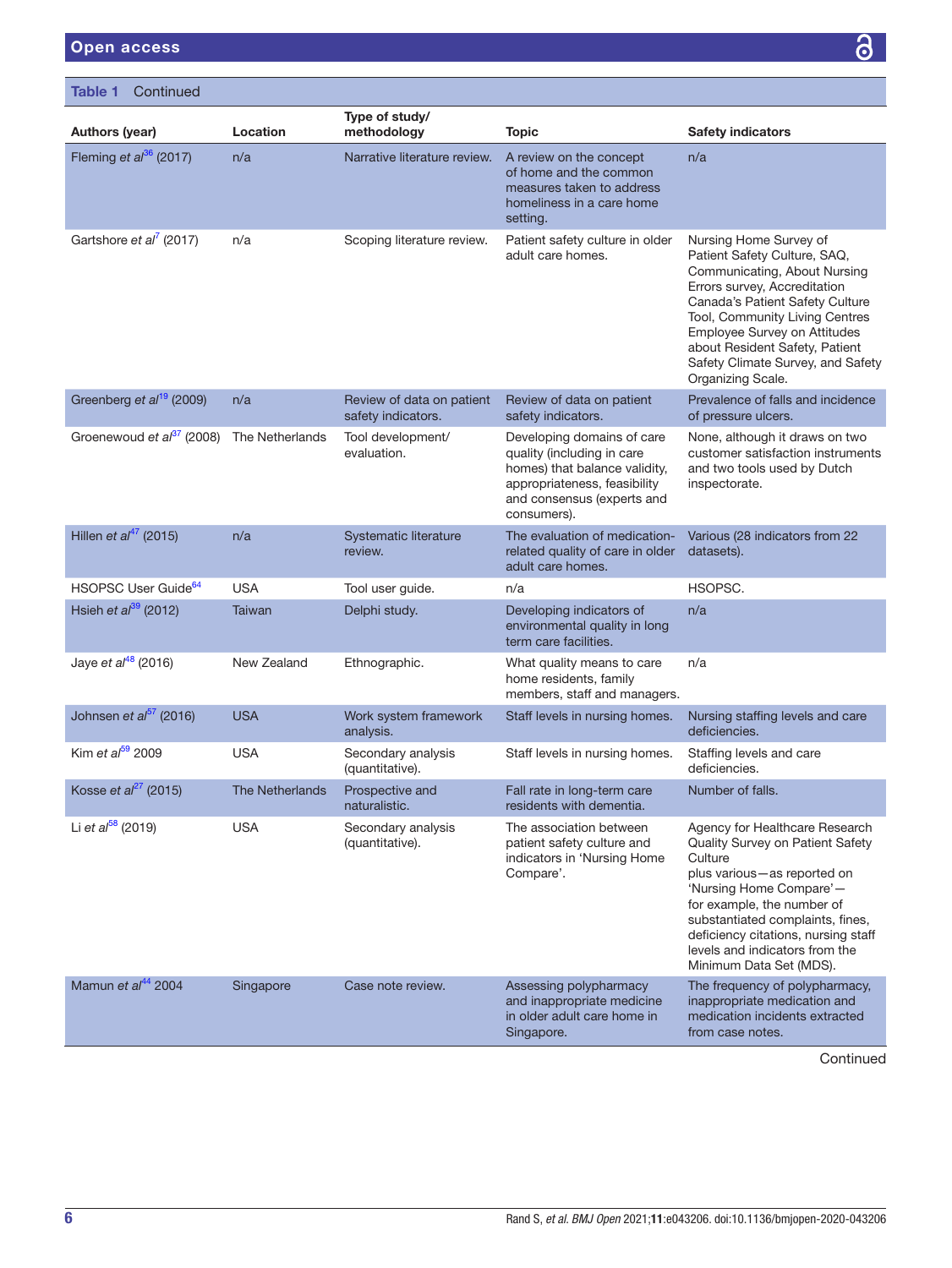| Table 1<br>Continued                  |                        |                                                 |                                                                                                                                                                        |                                                                                                                                                                                                                                                                                                                                |
|---------------------------------------|------------------------|-------------------------------------------------|------------------------------------------------------------------------------------------------------------------------------------------------------------------------|--------------------------------------------------------------------------------------------------------------------------------------------------------------------------------------------------------------------------------------------------------------------------------------------------------------------------------|
| Authors (year)                        | Location               | Type of study/<br>methodology                   | Topic                                                                                                                                                                  | <b>Safety indicators</b>                                                                                                                                                                                                                                                                                                       |
| Fleming et $a^{36}$ (2017)            | n/a                    | Narrative literature review.                    | A review on the concept<br>of home and the common<br>measures taken to address<br>homeliness in a care home<br>setting.                                                | n/a                                                                                                                                                                                                                                                                                                                            |
| Gartshore et al <sup>7</sup> (2017)   | n/a                    | Scoping literature review.                      | Patient safety culture in older<br>adult care homes.                                                                                                                   | Nursing Home Survey of<br>Patient Safety Culture, SAQ,<br>Communicating, About Nursing<br>Errors survey, Accreditation<br>Canada's Patient Safety Culture<br>Tool, Community Living Centres<br><b>Employee Survey on Attitudes</b><br>about Resident Safety, Patient<br>Safety Climate Survey, and Safety<br>Organizing Scale. |
| Greenberg et $al^{19}$ (2009)         | n/a                    | Review of data on patient<br>safety indicators. | Review of data on patient<br>safety indicators.                                                                                                                        | Prevalence of falls and incidence<br>of pressure ulcers.                                                                                                                                                                                                                                                                       |
| Groenewoud et al <sup>37</sup> (2008) | The Netherlands        | Tool development/<br>evaluation.                | Developing domains of care<br>quality (including in care<br>homes) that balance validity,<br>appropriateness, feasibility<br>and consensus (experts and<br>consumers). | None, although it draws on two<br>customer satisfaction instruments<br>and two tools used by Dutch<br>inspectorate.                                                                                                                                                                                                            |
| Hillen et $al^{47}$ (2015)            | n/a                    | Systematic literature<br>review.                | The evaluation of medication-<br>related quality of care in older<br>adult care homes.                                                                                 | Various (28 indicators from 22<br>datasets).                                                                                                                                                                                                                                                                                   |
| HSOPSC User Guide <sup>64</sup>       | <b>USA</b>             | Tool user guide.                                | n/a                                                                                                                                                                    | HSOPSC.                                                                                                                                                                                                                                                                                                                        |
| Hsieh et $al^{39}$ (2012)             | <b>Taiwan</b>          | Delphi study.                                   | Developing indicators of<br>environmental quality in long<br>term care facilities.                                                                                     | n/a                                                                                                                                                                                                                                                                                                                            |
| Jaye et al <sup>48</sup> (2016)       | New Zealand            | Ethnographic.                                   | What quality means to care<br>home residents, family<br>members, staff and managers.                                                                                   | n/a                                                                                                                                                                                                                                                                                                                            |
| Johnsen et $a^{57}$ (2016)            | <b>USA</b>             | Work system framework<br>analysis.              | Staff levels in nursing homes.                                                                                                                                         | Nursing staffing levels and care<br>deficiencies.                                                                                                                                                                                                                                                                              |
| Kim et al <sup>59</sup> 2009          | <b>USA</b>             | Secondary analysis<br>(quantitative).           | Staff levels in nursing homes.                                                                                                                                         | Staffing levels and care<br>deficiencies.                                                                                                                                                                                                                                                                                      |
| Kosse et $al^{27}$ (2015)             | <b>The Netherlands</b> | Prospective and<br>naturalistic.                | Fall rate in long-term care<br>residents with dementia.                                                                                                                | Number of falls.                                                                                                                                                                                                                                                                                                               |
| Li et $a^{58}$ (2019)                 | <b>USA</b>             | Secondary analysis<br>(quantitative).           | The association between<br>patient safety culture and<br>indicators in 'Nursing Home<br>Compare'.                                                                      | Agency for Healthcare Research<br>Quality Survey on Patient Safety<br>Culture<br>plus various-as reported on<br>'Nursing Home Compare'-<br>for example, the number of<br>substantiated complaints, fines,<br>deficiency citations, nursing staff<br>levels and indicators from the<br>Minimum Data Set (MDS).                  |
| Mamun et $al^{44}$ 2004               | Singapore              | Case note review.                               | Assessing polypharmacy<br>and inappropriate medicine<br>in older adult care home in<br>Singapore.                                                                      | The frequency of polypharmacy,<br>inappropriate medication and<br>medication incidents extracted<br>from case notes.                                                                                                                                                                                                           |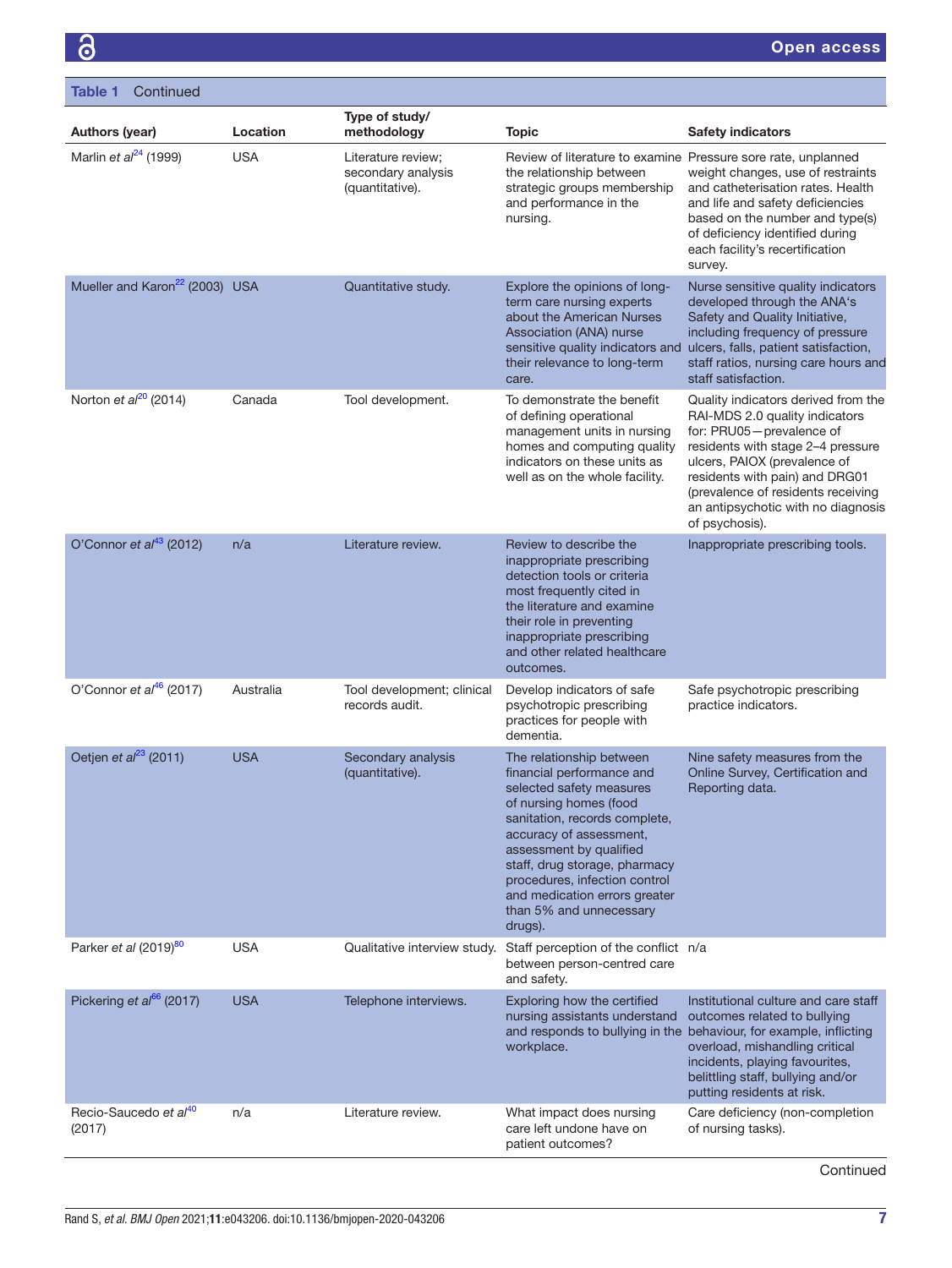| Table 1<br>Continued                        |            |                                                             |                                                                                                                                                                                                                                                                                                                                             |                                                                                                                                                                                                                                                                                                        |
|---------------------------------------------|------------|-------------------------------------------------------------|---------------------------------------------------------------------------------------------------------------------------------------------------------------------------------------------------------------------------------------------------------------------------------------------------------------------------------------------|--------------------------------------------------------------------------------------------------------------------------------------------------------------------------------------------------------------------------------------------------------------------------------------------------------|
| Authors (year)                              | Location   | Type of study/<br>methodology                               | <b>Topic</b>                                                                                                                                                                                                                                                                                                                                | <b>Safety indicators</b>                                                                                                                                                                                                                                                                               |
| Marlin et $al^{24}$ (1999)                  | <b>USA</b> | Literature review;<br>secondary analysis<br>(quantitative). | Review of literature to examine Pressure sore rate, unplanned<br>the relationship between<br>strategic groups membership<br>and performance in the<br>nursing.                                                                                                                                                                              | weight changes, use of restraints<br>and catheterisation rates. Health<br>and life and safety deficiencies<br>based on the number and type(s)<br>of deficiency identified during<br>each facility's recertification<br>survey.                                                                         |
| Mueller and Karon <sup>22</sup> (2003) USA  |            | Quantitative study.                                         | Explore the opinions of long-<br>term care nursing experts<br>about the American Nurses<br>Association (ANA) nurse<br>sensitive quality indicators and<br>their relevance to long-term<br>care.                                                                                                                                             | Nurse sensitive quality indicators<br>developed through the ANA's<br>Safety and Quality Initiative,<br>including frequency of pressure<br>ulcers, falls, patient satisfaction,<br>staff ratios, nursing care hours and<br>staff satisfaction.                                                          |
| Norton et al <sup>20</sup> (2014)           | Canada     | Tool development.                                           | To demonstrate the benefit<br>of defining operational<br>management units in nursing<br>homes and computing quality<br>indicators on these units as<br>well as on the whole facility.                                                                                                                                                       | Quality indicators derived from the<br>RAI-MDS 2.0 quality indicators<br>for: PRU05-prevalence of<br>residents with stage 2-4 pressure<br>ulcers, PAIOX (prevalence of<br>residents with pain) and DRG01<br>(prevalence of residents receiving<br>an antipsychotic with no diagnosis<br>of psychosis). |
| O'Connor et $al^{43}$ (2012)                | n/a        | Literature review.                                          | Review to describe the<br>inappropriate prescribing<br>detection tools or criteria<br>most frequently cited in<br>the literature and examine<br>their role in preventing<br>inappropriate prescribing<br>and other related healthcare<br>outcomes.                                                                                          | Inappropriate prescribing tools.                                                                                                                                                                                                                                                                       |
| O'Connor et $al^{46}$ (2017)                | Australia  | Tool development; clinical<br>records audit.                | Develop indicators of safe<br>psychotropic prescribing<br>practices for people with<br>dementia.                                                                                                                                                                                                                                            | Safe psychotropic prescribing<br>practice indicators.                                                                                                                                                                                                                                                  |
| Oetjen et al <sup>23</sup> (2011)           | <b>USA</b> | Secondary analysis<br>(quantitative).                       | The relationship between<br>financial performance and<br>selected safety measures<br>of nursing homes (food<br>sanitation, records complete,<br>accuracy of assessment,<br>assessment by qualified<br>staff, drug storage, pharmacy<br>procedures, infection control<br>and medication errors greater<br>than 5% and unnecessary<br>drugs). | Nine safety measures from the<br>Online Survey, Certification and<br>Reporting data.                                                                                                                                                                                                                   |
| Parker et al (2019) <sup>80</sup>           | <b>USA</b> | Qualitative interview study.                                | Staff perception of the conflict n/a<br>between person-centred care<br>and safety.                                                                                                                                                                                                                                                          |                                                                                                                                                                                                                                                                                                        |
| Pickering et $al^{66}$ (2017)               | <b>USA</b> | Telephone interviews.                                       | Exploring how the certified<br>nursing assistants understand<br>workplace.                                                                                                                                                                                                                                                                  | Institutional culture and care staff<br>outcomes related to bullying<br>and responds to bullying in the behaviour, for example, inflicting<br>overload, mishandling critical<br>incidents, playing favourites,<br>belittling staff, bullying and/or<br>putting residents at risk.                      |
| Recio-Saucedo et al <sup>40</sup><br>(2017) | n/a        | Literature review.                                          | What impact does nursing<br>care left undone have on<br>patient outcomes?                                                                                                                                                                                                                                                                   | Care deficiency (non-completion<br>of nursing tasks).                                                                                                                                                                                                                                                  |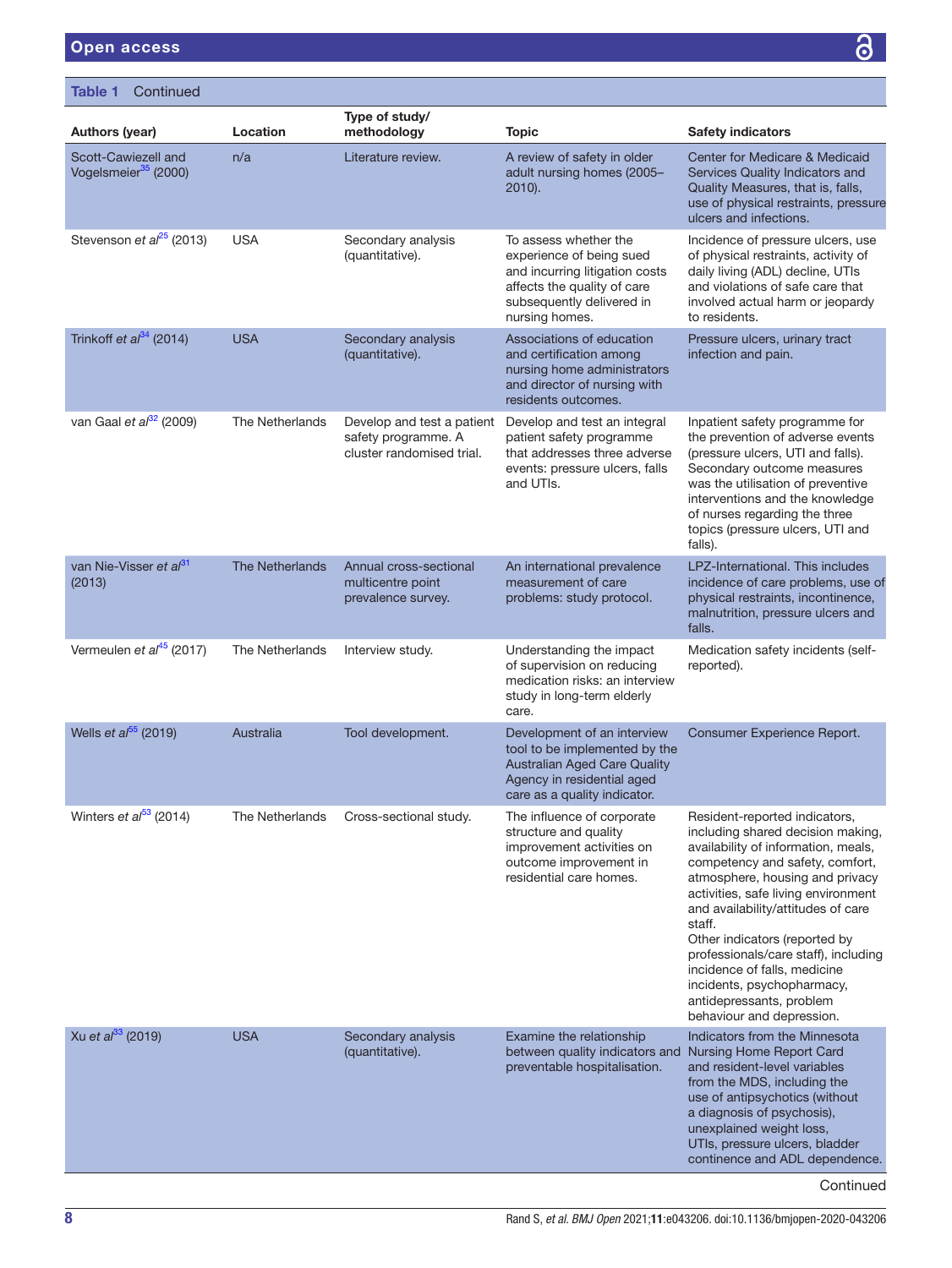Open access

| Continued<br><b>Table 1</b>                             |                        |                                                                                |                                                                                                                                                                   |                                                                                                                                                                                                                                                                                                                                                                                                                                                                        |
|---------------------------------------------------------|------------------------|--------------------------------------------------------------------------------|-------------------------------------------------------------------------------------------------------------------------------------------------------------------|------------------------------------------------------------------------------------------------------------------------------------------------------------------------------------------------------------------------------------------------------------------------------------------------------------------------------------------------------------------------------------------------------------------------------------------------------------------------|
| Authors (year)                                          | Location               | Type of study/<br>methodology                                                  | <b>Topic</b>                                                                                                                                                      | <b>Safety indicators</b>                                                                                                                                                                                                                                                                                                                                                                                                                                               |
| Scott-Cawiezell and<br>Vogelsmeier <sup>35</sup> (2000) | n/a                    | Literature review.                                                             | A review of safety in older<br>adult nursing homes (2005-<br>$2010$ ).                                                                                            | Center for Medicare & Medicaid<br>Services Quality Indicators and<br>Quality Measures, that is, falls,<br>use of physical restraints, pressure<br>ulcers and infections.                                                                                                                                                                                                                                                                                               |
| Stevenson et $al^{25}$ (2013)                           | <b>USA</b>             | Secondary analysis<br>(quantitative).                                          | To assess whether the<br>experience of being sued<br>and incurring litigation costs<br>affects the quality of care<br>subsequently delivered in<br>nursing homes. | Incidence of pressure ulcers, use<br>of physical restraints, activity of<br>daily living (ADL) decline, UTIs<br>and violations of safe care that<br>involved actual harm or jeopardy<br>to residents.                                                                                                                                                                                                                                                                  |
| Trinkoff et $a^{34}$ (2014)                             | <b>USA</b>             | Secondary analysis<br>(quantitative).                                          | Associations of education<br>and certification among<br>nursing home administrators<br>and director of nursing with<br>residents outcomes.                        | Pressure ulcers, urinary tract<br>infection and pain.                                                                                                                                                                                                                                                                                                                                                                                                                  |
| van Gaal et al <sup>32</sup> (2009)                     | The Netherlands        | Develop and test a patient<br>safety programme. A<br>cluster randomised trial. | Develop and test an integral<br>patient safety programme<br>that addresses three adverse<br>events: pressure ulcers, falls<br>and UTIs.                           | Inpatient safety programme for<br>the prevention of adverse events<br>(pressure ulcers, UTI and falls).<br>Secondary outcome measures<br>was the utilisation of preventive<br>interventions and the knowledge<br>of nurses regarding the three<br>topics (pressure ulcers, UTI and<br>falls).                                                                                                                                                                          |
| van Nie-Visser et al <sup>31</sup><br>(2013)            | <b>The Netherlands</b> | Annual cross-sectional<br>multicentre point<br>prevalence survey.              | An international prevalence<br>measurement of care<br>problems: study protocol.                                                                                   | LPZ-International. This includes<br>incidence of care problems, use of<br>physical restraints, incontinence,<br>malnutrition, pressure ulcers and<br>falls.                                                                                                                                                                                                                                                                                                            |
| Vermeulen et $al^{45}$ (2017)                           | The Netherlands        | Interview study.                                                               | Understanding the impact<br>of supervision on reducing<br>medication risks: an interview<br>study in long-term elderly<br>care.                                   | Medication safety incidents (self-<br>reported).                                                                                                                                                                                                                                                                                                                                                                                                                       |
| Wells <i>et al</i> <sup>55</sup> (2019)                 | Australia              | Tool development.                                                              | Development of an interview<br>tool to be implemented by the<br><b>Australian Aged Care Quality</b><br>Agency in residential aged<br>care as a quality indicator. | Consumer Experience Report.                                                                                                                                                                                                                                                                                                                                                                                                                                            |
| Winters et $a^{53}$ (2014)                              | The Netherlands        | Cross-sectional study.                                                         | The influence of corporate<br>structure and quality<br>improvement activities on<br>outcome improvement in<br>residential care homes.                             | Resident-reported indicators,<br>including shared decision making,<br>availability of information, meals,<br>competency and safety, comfort,<br>atmosphere, housing and privacy<br>activities, safe living environment<br>and availability/attitudes of care<br>staff.<br>Other indicators (reported by<br>professionals/care staff), including<br>incidence of falls, medicine<br>incidents, psychopharmacy,<br>antidepressants, problem<br>behaviour and depression. |
| Xu et $al^{33}$ (2019)                                  | <b>USA</b>             | Secondary analysis<br>(quantitative).                                          | Examine the relationship<br>between quality indicators and<br>preventable hospitalisation.                                                                        | Indicators from the Minnesota<br>Nursing Home Report Card<br>and resident-level variables<br>from the MDS, including the<br>use of antipsychotics (without<br>a diagnosis of psychosis),<br>unexplained weight loss,<br>UTIs, pressure ulcers, bladder<br>continence and ADL dependence.                                                                                                                                                                               |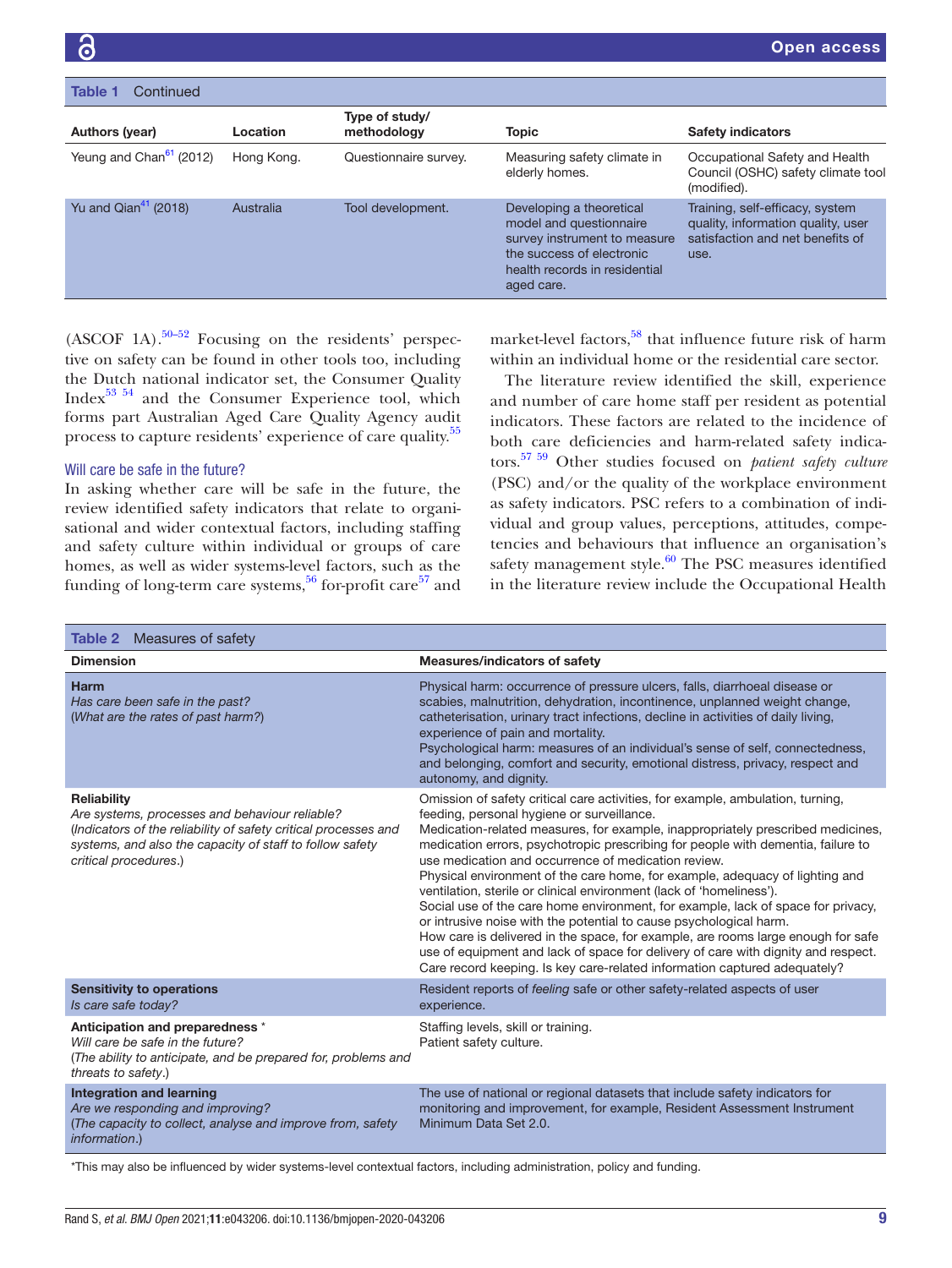| Table 1<br>Continued                |            |                               |                                                                                                                                                                 |                                                                                                                   |
|-------------------------------------|------------|-------------------------------|-----------------------------------------------------------------------------------------------------------------------------------------------------------------|-------------------------------------------------------------------------------------------------------------------|
| Authors (year)                      | Location   | Type of study/<br>methodology | Topic                                                                                                                                                           | <b>Safety indicators</b>                                                                                          |
| Yeung and Chan <sup>61</sup> (2012) | Hong Kong. | Questionnaire survey.         | Measuring safety climate in<br>elderly homes.                                                                                                                   | Occupational Safety and Health<br>Council (OSHC) safety climate tool<br>(modified).                               |
| Yu and Qian $41$ (2018)             | Australia  | Tool development.             | Developing a theoretical<br>model and questionnaire<br>survey instrument to measure<br>the success of electronic<br>health records in residential<br>aged care. | Training, self-efficacy, system<br>quality, information quality, user<br>satisfaction and net benefits of<br>use. |

 $(ASCOF 1A).$ <sup>50-52</sup> Focusing on the residents' perspective on safety can be found in other tools too, including the Dutch national indicator set, the Consumer Quality Inde[x53 54](#page-11-42) and the Consumer Experience tool, which forms part Australian Aged Care Quality Agency audit process to capture residents' experience of care quality.<sup>[55](#page-11-41)</sup>

#### Will care be safe in the future?

In asking whether care will be safe in the future, the review identified safety indicators that relate to organisational and wider contextual factors, including staffing and safety culture within individual or groups of care homes, as well as wider systems-level factors, such as the funding of long-term care systems,<sup>56</sup> for-profit care<sup>57</sup> and

market-level factors, $58$  that influence future risk of harm within an individual home or the residential care sector.

The literature review identified the skill, experience and number of care home staff per resident as potential indicators. These factors are related to the incidence of both care deficiencies and harm-related safety indicators.[57 59](#page-11-25) Other studies focused on *patient safety culture* (PSC) and/or the quality of the workplace environment as safety indicators. PSC refers to a combination of individual and group values, perceptions, attitudes, competencies and behaviours that influence an organisation's safety management style. $60$  The PSC measures identified in the literature review include the Occupational Health

<span id="page-8-0"></span>

| <b>Table 2</b> Measures of safety                                                                                                                                                                                            |                                                                                                                                                                                                                                                                                                                                                                                                                                                                                                                                                                                                                                                                                                                                                                                                                                                                                                                                    |
|------------------------------------------------------------------------------------------------------------------------------------------------------------------------------------------------------------------------------|------------------------------------------------------------------------------------------------------------------------------------------------------------------------------------------------------------------------------------------------------------------------------------------------------------------------------------------------------------------------------------------------------------------------------------------------------------------------------------------------------------------------------------------------------------------------------------------------------------------------------------------------------------------------------------------------------------------------------------------------------------------------------------------------------------------------------------------------------------------------------------------------------------------------------------|
| <b>Dimension</b>                                                                                                                                                                                                             | <b>Measures/indicators of safety</b>                                                                                                                                                                                                                                                                                                                                                                                                                                                                                                                                                                                                                                                                                                                                                                                                                                                                                               |
| Harm<br>Has care been safe in the past?<br>(What are the rates of past harm?)                                                                                                                                                | Physical harm: occurrence of pressure ulcers, falls, diarrhoeal disease or<br>scabies, malnutrition, dehydration, incontinence, unplanned weight change,<br>catheterisation, urinary tract infections, decline in activities of daily living,<br>experience of pain and mortality.<br>Psychological harm: measures of an individual's sense of self, connectedness,<br>and belonging, comfort and security, emotional distress, privacy, respect and<br>autonomy, and dignity.                                                                                                                                                                                                                                                                                                                                                                                                                                                     |
| <b>Reliability</b><br>Are systems, processes and behaviour reliable?<br>(Indicators of the reliability of safety critical processes and<br>systems, and also the capacity of staff to follow safety<br>critical procedures.) | Omission of safety critical care activities, for example, ambulation, turning,<br>feeding, personal hygiene or surveillance.<br>Medication-related measures, for example, inappropriately prescribed medicines,<br>medication errors, psychotropic prescribing for people with dementia, failure to<br>use medication and occurrence of medication review.<br>Physical environment of the care home, for example, adequacy of lighting and<br>ventilation, sterile or clinical environment (lack of 'homeliness').<br>Social use of the care home environment, for example, lack of space for privacy,<br>or intrusive noise with the potential to cause psychological harm.<br>How care is delivered in the space, for example, are rooms large enough for safe<br>use of equipment and lack of space for delivery of care with dignity and respect.<br>Care record keeping. Is key care-related information captured adequately? |
| <b>Sensitivity to operations</b><br>Is care safe today?                                                                                                                                                                      | Resident reports of feeling safe or other safety-related aspects of user<br>experience.                                                                                                                                                                                                                                                                                                                                                                                                                                                                                                                                                                                                                                                                                                                                                                                                                                            |
| Anticipation and preparedness *<br>Will care be safe in the future?<br>(The ability to anticipate, and be prepared for, problems and<br>threats to safety.)                                                                  | Staffing levels, skill or training.<br>Patient safety culture.                                                                                                                                                                                                                                                                                                                                                                                                                                                                                                                                                                                                                                                                                                                                                                                                                                                                     |
| <b>Integration and learning</b><br>Are we responding and improving?<br>(The capacity to collect, analyse and improve from, safety<br><i>information.)</i>                                                                    | The use of national or regional datasets that include safety indicators for<br>monitoring and improvement, for example, Resident Assessment Instrument<br>Minimum Data Set 2.0.                                                                                                                                                                                                                                                                                                                                                                                                                                                                                                                                                                                                                                                                                                                                                    |

\*This may also be influenced by wider systems-level contextual factors, including administration, policy and funding.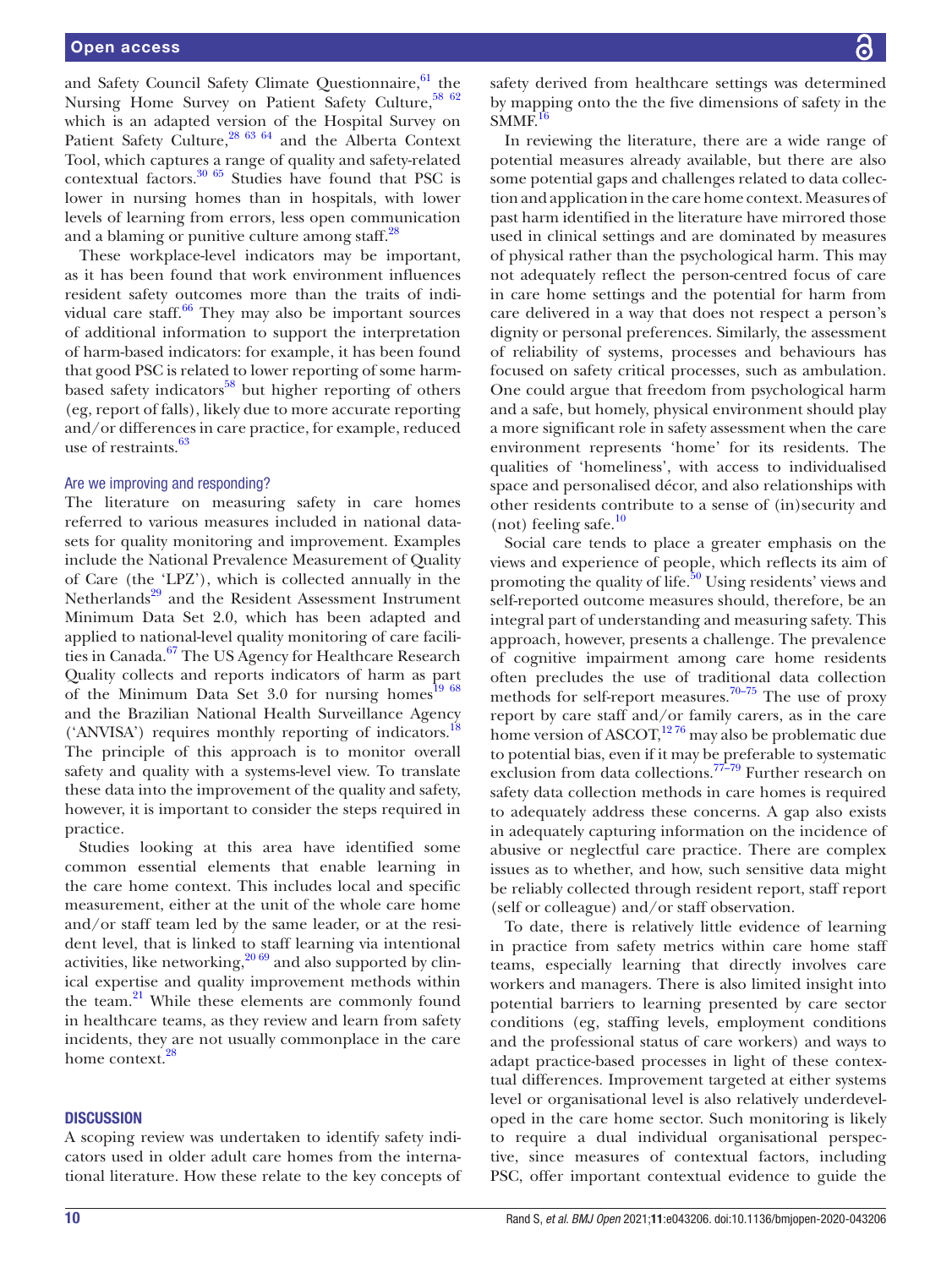and Safety Council Safety Climate Questionnaire, <sup>61</sup> the Nursing Home Survey on Patient Safety Culture, [58 62](#page-11-28) which is an adapted version of the Hospital Survey on Patient Safety Culture,<sup>[28 63 64](#page-11-13)</sup> and the Alberta Context Tool, which captures a range of quality and safety-related contextual factors[.30 65](#page-11-18) Studies have found that PSC is lower in nursing homes than in hospitals, with lower levels of learning from errors, less open communication and a blaming or punitive culture among staff.<sup>28</sup>

These workplace-level indicators may be important, as it has been found that work environment influences resident safety outcomes more than the traits of individual care staff. $66$  They may also be important sources of additional information to support the interpretation of harm-based indicators: for example, it has been found that good PSC is related to lower reporting of some harmbased safety indicators $58$  but higher reporting of others (eg, report of falls), likely due to more accurate reporting and/or differences in care practice, for example, reduced use of restraints.<sup>[63](#page-11-12)</sup>

#### Are we improving and responding?

The literature on measuring safety in care homes referred to various measures included in national datasets for quality monitoring and improvement. Examples include the National Prevalence Measurement of Quality of Care (the 'LPZ'), which is collected annually in the Netherlands<sup>29</sup> and the Resident Assessment Instrument Minimum Data Set 2.0, which has been adapted and applied to national-level quality monitoring of care facilities in Canada.<sup>67</sup> The US Agency for Healthcare Research Quality collects and reports indicators of harm as part of the Minimum Data Set 3.0 for nursing homes<sup>[19 68](#page-11-21)</sup> and the Brazilian National Health Surveillance Agency ('ANVISA') requires monthly reporting of indicators[.18](#page-11-1) The principle of this approach is to monitor overall safety and quality with a systems-level view. To translate these data into the improvement of the quality and safety, however, it is important to consider the steps required in practice.

Studies looking at this area have identified some common essential elements that enable learning in the care home context. This includes local and specific measurement, either at the unit of the whole care home and/or staff team led by the same leader, or at the resident level, that is linked to staff learning via intentional activities, like networking,  $20\frac{69}{9}$  and also supported by clinical expertise and quality improvement methods within the team. $^{21}$  While these elements are commonly found in healthcare teams, as they review and learn from safety incidents, they are not usually commonplace in the care home context.<sup>[28](#page-11-13)</sup>

#### **DISCUSSION**

A scoping review was undertaken to identify safety indicators used in older adult care homes from the international literature. How these relate to the key concepts of safety derived from healthcare settings was determined by mapping onto the the five dimensions of safety in the SMMF.

In reviewing the literature, there are a wide range of potential measures already available, but there are also some potential gaps and challenges related to data collection and application in the care home context. Measures of past harm identified in the literature have mirrored those used in clinical settings and are dominated by measures of physical rather than the psychological harm. This may not adequately reflect the person-centred focus of care in care home settings and the potential for harm from care delivered in a way that does not respect a person's dignity or personal preferences. Similarly, the assessment of reliability of systems, processes and behaviours has focused on safety critical processes, such as ambulation. One could argue that freedom from psychological harm and a safe, but homely, physical environment should play a more significant role in safety assessment when the care environment represents 'home' for its residents. The qualities of 'homeliness', with access to individualised space and personalised décor, and also relationships with other residents contribute to a sense of (in)security and (not) feeling safe. $10$ 

Social care tends to place a greater emphasis on the views and experience of people, which reflects its aim of promoting the quality of life.<sup>50</sup> Using residents' views and self-reported outcome measures should, therefore, be an integral part of understanding and measuring safety. This approach, however, presents a challenge. The prevalence of cognitive impairment among care home residents often precludes the use of traditional data collection methods for self-report measures.<sup>70–75</sup> The use of proxy report by care staff and/or family carers, as in the care home version of ASCOT,<sup>1276</sup> may also be problematic due to potential bias, even if it may be preferable to systematic exclusion from data collections.<sup>77-79</sup> Further research on safety data collection methods in care homes is required to adequately address these concerns. A gap also exists in adequately capturing information on the incidence of abusive or neglectful care practice. There are complex issues as to whether, and how, such sensitive data might be reliably collected through resident report, staff report (self or colleague) and/or staff observation.

To date, there is relatively little evidence of learning in practice from safety metrics within care home staff teams, especially learning that directly involves care workers and managers. There is also limited insight into potential barriers to learning presented by care sector conditions (eg, staffing levels, employment conditions and the professional status of care workers) and ways to adapt practice-based processes in light of these contextual differences. Improvement targeted at either systems level or organisational level is also relatively underdeveloped in the care home sector. Such monitoring is likely to require a dual individual organisational perspective, since measures of contextual factors, including PSC, offer important contextual evidence to guide the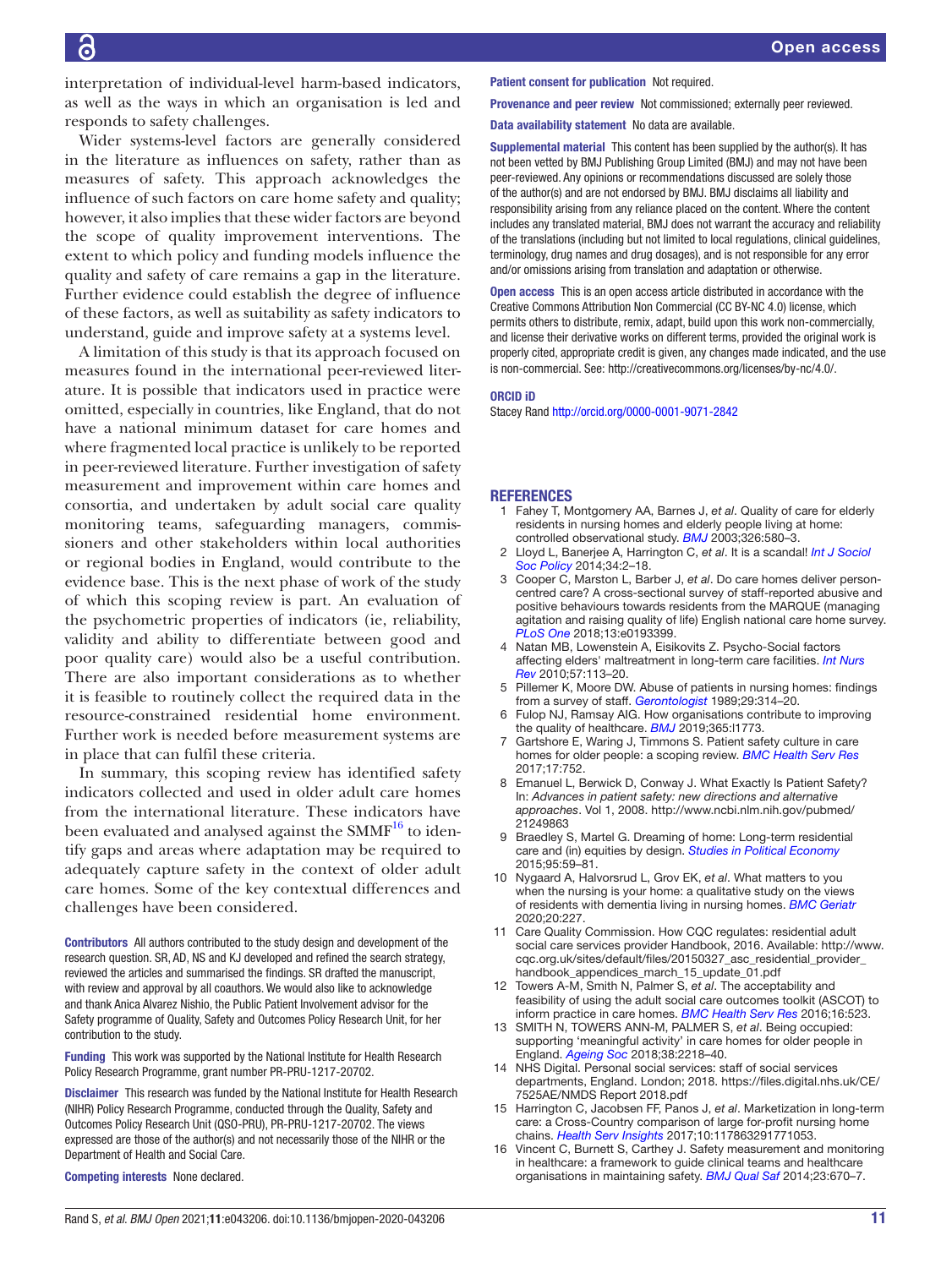interpretation of individual-level harm-based indicators, as well as the ways in which an organisation is led and responds to safety challenges.

Wider systems-level factors are generally considered in the literature as influences on safety, rather than as measures of safety. This approach acknowledges the influence of such factors on care home safety and quality; however, it also implies that these wider factors are beyond the scope of quality improvement interventions. The extent to which policy and funding models influence the quality and safety of care remains a gap in the literature. Further evidence could establish the degree of influence of these factors, as well as suitability as safety indicators to understand, guide and improve safety at a systems level.

A limitation of this study is that its approach focused on measures found in the international peer-reviewed literature. It is possible that indicators used in practice were omitted, especially in countries, like England, that do not have a national minimum dataset for care homes and where fragmented local practice is unlikely to be reported in peer-reviewed literature. Further investigation of safety measurement and improvement within care homes and consortia, and undertaken by adult social care quality monitoring teams, safeguarding managers, commissioners and other stakeholders within local authorities or regional bodies in England, would contribute to the evidence base. This is the next phase of work of the study of which this scoping review is part. An evaluation of the psychometric properties of indicators (ie, reliability, validity and ability to differentiate between good and poor quality care) would also be a useful contribution. There are also important considerations as to whether it is feasible to routinely collect the required data in the resource-constrained residential home environment. Further work is needed before measurement systems are in place that can fulfil these criteria.

In summary, this scoping review has identified safety indicators collected and used in older adult care homes from the international literature. These indicators have been evaluated and analysed against the SMMF<sup>[16](#page-10-10)</sup> to identify gaps and areas where adaptation may be required to adequately capture safety in the context of older adult care homes. Some of the key contextual differences and challenges have been considered.

Contributors All authors contributed to the study design and development of the research question. SR, AD, NS and KJ developed and refined the search strategy, reviewed the articles and summarised the findings. SR drafted the manuscript, with review and approval by all coauthors. We would also like to acknowledge and thank Anica Alvarez Nishio, the Public Patient Involvement advisor for the Safety programme of Quality, Safety and Outcomes Policy Research Unit, for her contribution to the study.

Funding This work was supported by the National Institute for Health Research Policy Research Programme, grant number PR-PRU-1217-20702.

Disclaimer This research was funded by the National Institute for Health Research (NIHR) Policy Research Programme, conducted through the Quality, Safety and Outcomes Policy Research Unit (QSO-PRU), PR-PRU-1217-20702. The views expressed are those of the author(s) and not necessarily those of the NIHR or the Department of Health and Social Care.

Competing interests None declared.

#### Patient consent for publication Not required.

Provenance and peer review Not commissioned; externally peer reviewed.

Data availability statement No data are available.

Supplemental material This content has been supplied by the author(s). It has not been vetted by BMJ Publishing Group Limited (BMJ) and may not have been peer-reviewed. Any opinions or recommendations discussed are solely those of the author(s) and are not endorsed by BMJ. BMJ disclaims all liability and responsibility arising from any reliance placed on the content. Where the content includes any translated material, BMJ does not warrant the accuracy and reliability of the translations (including but not limited to local regulations, clinical guidelines, terminology, drug names and drug dosages), and is not responsible for any error and/or omissions arising from translation and adaptation or otherwise.

Open access This is an open access article distributed in accordance with the Creative Commons Attribution Non Commercial (CC BY-NC 4.0) license, which permits others to distribute, remix, adapt, build upon this work non-commercially, and license their derivative works on different terms, provided the original work is properly cited, appropriate credit is given, any changes made indicated, and the use is non-commercial. See: [http://creativecommons.org/licenses/by-nc/4.0/.](http://creativecommons.org/licenses/by-nc/4.0/)

#### ORCID iD

Stacey Rand <http://orcid.org/0000-0001-9071-2842>

#### **REFERENCES**

- <span id="page-10-0"></span>1 Fahey T, Montgomery AA, Barnes J, *et al*. Quality of care for elderly residents in nursing homes and elderly people living at home: controlled observational study. *[BMJ](http://dx.doi.org/10.1136/bmj.326.7389.580)* 2003;326:580–3.
- <span id="page-10-1"></span>2 Lloyd L, Banerjee A, Harrington C, *et al*. It is a scandal! *[Int J Sociol](http://dx.doi.org/10.1108/IJSSP-03-2013-0034)  [Soc Policy](http://dx.doi.org/10.1108/IJSSP-03-2013-0034)* 2014;34:2–18.
- 3 Cooper C, Marston L, Barber J, *et al*. Do care homes deliver personcentred care? A cross-sectional survey of staff-reported abusive and positive behaviours towards residents from the MARQUE (managing agitation and raising quality of life) English national care home survey. *[PLoS One](http://dx.doi.org/10.1371/journal.pone.0193399)* 2018;13:e0193399.
- 4 Natan MB, Lowenstein A, Eisikovits Z. Psycho-Social factors affecting elders' maltreatment in long-term care facilities. *[Int Nurs](http://dx.doi.org/10.1111/j.1466-7657.2009.00771.x)  [Rev](http://dx.doi.org/10.1111/j.1466-7657.2009.00771.x)* 2010;57:113–20.
- 5 Pillemer K, Moore DW. Abuse of patients in nursing homes: findings from a survey of staff. *[Gerontologist](http://dx.doi.org/10.1093/geront/29.3.314)* 1989;29:314–20.
- <span id="page-10-2"></span>6 Fulop NJ, Ramsay AIG. How organisations contribute to improving the quality of healthcare. *[BMJ](http://dx.doi.org/10.1136/bmj.l1773)* 2019;365:l1773.
- <span id="page-10-3"></span>7 Gartshore E, Waring J, Timmons S. Patient safety culture in care homes for older people: a scoping review. *[BMC Health Serv Res](http://dx.doi.org/10.1186/s12913-017-2713-2)* 2017;17:752.
- <span id="page-10-4"></span>8 Emanuel L, Berwick D, Conway J. What Exactly Is Patient Safety? In: *Advances in patient safety: new directions and alternative approaches*. Vol 1, 2008. [http://www.ncbi.nlm.nih.gov/pubmed/](http://www.ncbi.nlm.nih.gov/pubmed/21249863) [21249863](http://www.ncbi.nlm.nih.gov/pubmed/21249863)
- <span id="page-10-5"></span>9 Braedley S, Martel G. Dreaming of home: Long-term residential care and (in) equities by design. *[Studies in Political Economy](http://dx.doi.org/10.1080/19187033.2015.11674946)* 2015;95:59–81.
- <span id="page-10-11"></span>10 Nygaard A, Halvorsrud L, Grov EK, *et al*. What matters to you when the nursing is your home: a qualitative study on the views of residents with dementia living in nursing homes. *[BMC Geriatr](http://dx.doi.org/10.1186/s12877-020-01612-w)* 2020;20:227.
- <span id="page-10-6"></span>11 Care Quality Commission. How CQC regulates: residential adult social care services provider Handbook, 2016. Available: [http://www.](http://www.cqc.org.uk/sites/default/files/20150327_asc_residential_provider_handbook_appendices_march_15_update_01.pdf) [cqc.org.uk/sites/default/files/20150327\\_asc\\_residential\\_provider\\_](http://www.cqc.org.uk/sites/default/files/20150327_asc_residential_provider_handbook_appendices_march_15_update_01.pdf) [handbook\\_appendices\\_march\\_15\\_update\\_01.pdf](http://www.cqc.org.uk/sites/default/files/20150327_asc_residential_provider_handbook_appendices_march_15_update_01.pdf)
- <span id="page-10-7"></span>12 Towers A-M, Smith N, Palmer S, *et al*. The acceptability and feasibility of using the adult social care outcomes toolkit (ASCOT) to inform practice in care homes. *[BMC Health Serv Res](http://dx.doi.org/10.1186/s12913-016-1763-1)* 2016;16:523.
- 13 SMITH N, TOWERS ANN-M, PALMER S, *et al*. Being occupied: supporting 'meaningful activity' in care homes for older people in England. *[Ageing Soc](http://dx.doi.org/10.1017/S0144686X17000678)* 2018;38:2218–40.
- <span id="page-10-8"></span>14 NHS Digital. Personal social services: staff of social services departments, England. London; 2018. [https://files.digital.nhs.uk/CE/](https://files.digital.nhs.uk/CE/7525AE/NMDS%20Report%202018.pdf) [7525AE/NMDS Report 2018.pdf](https://files.digital.nhs.uk/CE/7525AE/NMDS%20Report%202018.pdf)
- <span id="page-10-9"></span>15 Harrington C, Jacobsen FF, Panos J, *et al*. Marketization in long-term care: a Cross-Country comparison of large for-profit nursing home chains. *[Health Serv Insights](http://dx.doi.org/10.1177/1178632917710533)* 2017;10:117863291771053.
- <span id="page-10-10"></span>16 Vincent C, Burnett S, Carthey J. Safety measurement and monitoring in healthcare: a framework to guide clinical teams and healthcare organisations in maintaining safety. *[BMJ Qual Saf](http://dx.doi.org/10.1136/bmjqs-2013-002757)* 2014;23:670–7.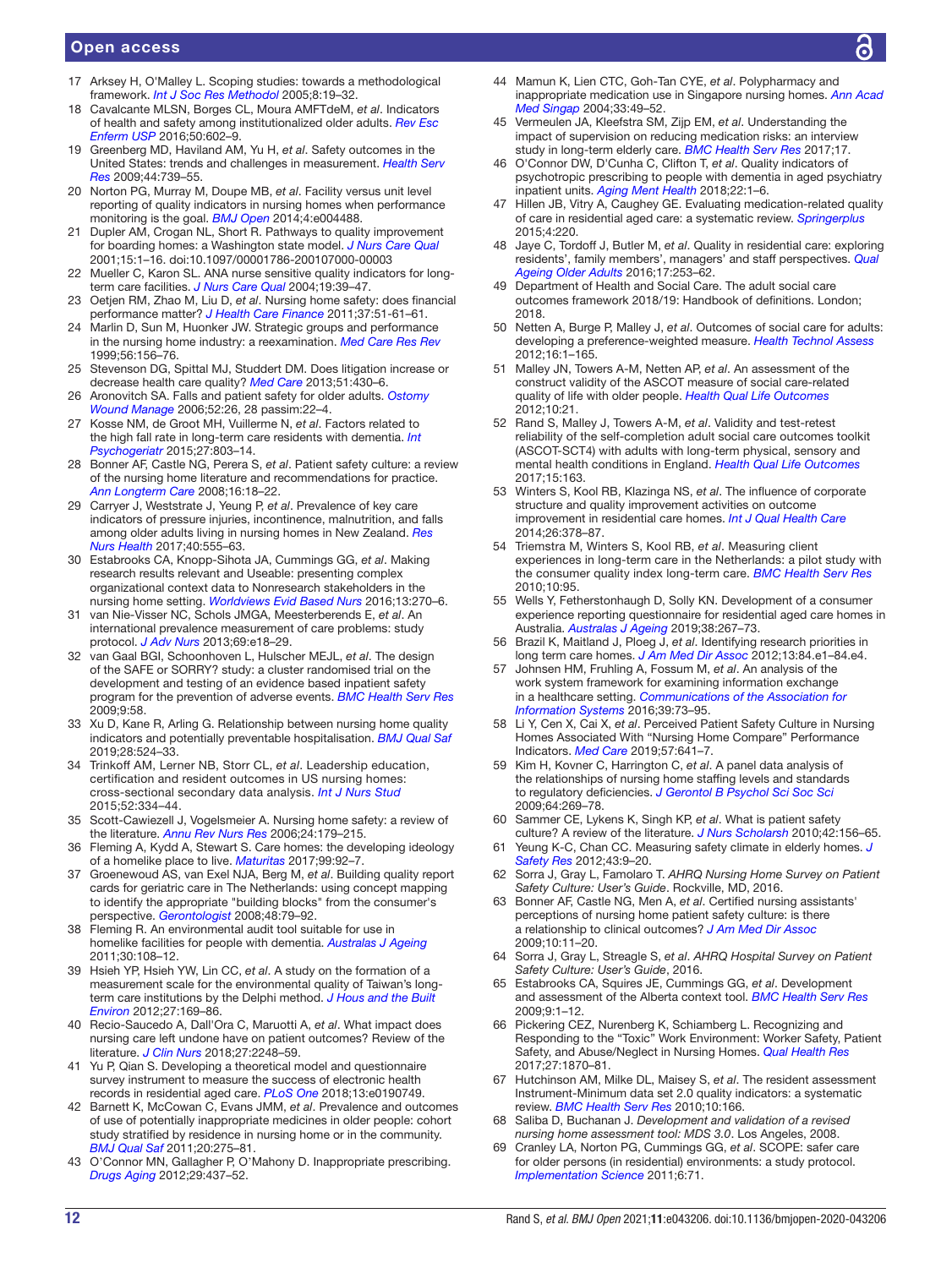# Open access

- <span id="page-11-0"></span>17 Arksey H, O'Malley L. Scoping studies: towards a methodological framework. *[Int J Soc Res Methodol](http://dx.doi.org/10.1080/1364557032000119616)* 2005;8:19–32.
- <span id="page-11-1"></span>18 Cavalcante MLSN, Borges CL, Moura AMFTdeM, *et al*. Indicators of health and safety among institutionalized older adults. *[Rev Esc](http://dx.doi.org/10.1590/S0080-623420160000500009)  [Enferm USP](http://dx.doi.org/10.1590/S0080-623420160000500009)* 2016;50:602–9.
- <span id="page-11-21"></span>19 Greenberg MD, Haviland AM, Yu H, *et al*. Safety outcomes in the United States: trends and challenges in measurement. *[Health Serv](http://dx.doi.org/10.1111/j.1475-6773.2008.00926.x)  [Res](http://dx.doi.org/10.1111/j.1475-6773.2008.00926.x)* 2009;44:739–55.
- <span id="page-11-32"></span>20 Norton PG, Murray M, Doupe MB, *et al*. Facility versus unit level reporting of quality indicators in nursing homes when performance monitoring is the goal. *[BMJ Open](http://dx.doi.org/10.1136/bmjopen-2013-004488)* 2014;4:e004488.
- <span id="page-11-17"></span>21 Dupler AM, Crogan NL, Short R. Pathways to quality improvement for boarding homes: a Washington state model. *[J Nurs Care Qual](http://dx.doi.org/10.1097/00001786-200107000-00003)* 2001;15:1–16. doi:10.1097/00001786-200107000-00003
- <span id="page-11-31"></span>22 Mueller C, Karon SL. ANA nurse sensitive quality indicators for longterm care facilities. *[J Nurs Care Qual](http://dx.doi.org/10.1097/00001786-200401000-00009)* 2004;19:39–47.
- <span id="page-11-34"></span>23 Oetjen RM, Zhao M, Liu D, *et al*. Nursing home safety: does financial performance matter? *[J Health Care Finance](http://www.ncbi.nlm.nih.gov/pubmed/21528833)* 2011;37:51-61–61.
- <span id="page-11-30"></span>24 Marlin D, Sun M, Huonker JW. Strategic groups and performance in the nursing home industry: a reexamination. *[Med Care Res Rev](http://dx.doi.org/10.1177/107755879905600203)* 1999;56:156–76.
- <span id="page-11-37"></span>25 Stevenson DG, Spittal MJ, Studdert DM. Does litigation increase or decrease health care quality? *[Med Care](http://dx.doi.org/10.1097/MLR.0b013e3182881ccc)* 2013;51:430–6.
- <span id="page-11-11"></span>26 Aronovitch SA. Falls and patient safety for older adults. *[Ostomy](http://www.ncbi.nlm.nih.gov/pubmed/17041252)  [Wound Manage](http://www.ncbi.nlm.nih.gov/pubmed/17041252)* 2006;52:26, 28 passim:22–4.
- <span id="page-11-27"></span>27 Kosse NM, de Groot MH, Vuillerme N, *et al*. Factors related to the high fall rate in long-term care residents with dementia. *[Int](http://dx.doi.org/10.1017/S104161021400249X)  [Psychogeriatr](http://dx.doi.org/10.1017/S104161021400249X)* 2015;27:803–14.
- <span id="page-11-13"></span>28 Bonner AF, Castle NG, Perera S, *et al*. Patient safety culture: a review of the nursing home literature and recommendations for practice. *[Ann Longterm Care](http://www.ncbi.nlm.nih.gov/pubmed/21701601)* 2008;16:18–22.
- <span id="page-11-15"></span>29 Carryer J, Weststrate J, Yeung P, *et al*. Prevalence of key care indicators of pressure injuries, incontinence, malnutrition, and falls among older adults living in nursing homes in New Zealand. *[Res](http://dx.doi.org/10.1002/nur.21835)  [Nurs Health](http://dx.doi.org/10.1002/nur.21835)* 2017;40:555–63.
- <span id="page-11-18"></span>30 Estabrooks CA, Knopp-Sihota JA, Cummings GG, *et al*. Making research results relevant and Useable: presenting complex organizational context data to Nonresearch stakeholders in the nursing home setting. *[Worldviews Evid Based Nurs](http://dx.doi.org/10.1111/wvn.12158)* 2016;13:270–6.
- <span id="page-11-40"></span>31 van Nie-Visser NC, Schols JMGA, Meesterberends E, *et al*. An international prevalence measurement of care problems: study protocol. *[J Adv Nurs](http://dx.doi.org/10.1111/jan.12190)* 2013;69:e18–29.
- <span id="page-11-39"></span>32 van Gaal BGI, Schoonhoven L, Hulscher MEJL, *et al*. The design of the SAFE or SORRY? study: a cluster randomised trial on the development and testing of an evidence based inpatient safety program for the prevention of adverse events. *[BMC Health Serv Res](http://dx.doi.org/10.1186/1472-6963-9-58)* 2009;9:58.
- <span id="page-11-43"></span>33 Xu D, Kane R, Arling G. Relationship between nursing home quality indicators and potentially preventable hospitalisation. *[BMJ Qual Saf](http://dx.doi.org/10.1136/bmjqs-2018-008924)* 2019;28:524–33.
- <span id="page-11-38"></span>34 Trinkoff AM, Lerner NB, Storr CL, *et al*. Leadership education, certification and resident outcomes in US nursing homes: cross-sectional secondary data analysis. *[Int J Nurs Stud](http://dx.doi.org/10.1016/j.ijnurstu.2014.10.002)* 2015;52:334–44.
- <span id="page-11-36"></span>Scott-Cawiezell J, Vogelsmeier A. Nursing home safety: a review of the literature. *[Annu Rev Nurs Res](http://dx.doi.org/10.1891/0739-6686.24.1.179)* 2006;24:179–215.
- <span id="page-11-2"></span>36 Fleming A, Kydd A, Stewart S. Care homes: the developing ideology of a homelike place to live. *[Maturitas](http://dx.doi.org/10.1016/j.maturitas.2017.02.013)* 2017;99:92–7.
- <span id="page-11-22"></span>37 Groenewoud AS, van Exel NJA, Berg M, *et al*. Building quality report cards for geriatric care in The Netherlands: using concept mapping to identify the appropriate "building blocks" from the consumer's perspective. *[Gerontologist](http://dx.doi.org/10.1093/geront/48.1.79)* 2008;48:79–92.
- <span id="page-11-20"></span>38 Fleming R. An environmental audit tool suitable for use in homelike facilities for people with dementia. *[Australas J Ageing](http://dx.doi.org/10.1111/j.1741-6612.2010.00444.x)* 2011;30:108–12.
- <span id="page-11-24"></span>39 Hsieh YP, Hsieh YW, Lin CC, *et al*. A study on the formation of a measurement scale for the environmental quality of Taiwan's longterm care institutions by the Delphi method. *[J Hous and the Built](http://dx.doi.org/10.1007/s10901-011-9254-5)  [Environ](http://dx.doi.org/10.1007/s10901-011-9254-5)* 2012;27:169–86.
- <span id="page-11-3"></span>40 Recio-Saucedo A, Dall'Ora C, Maruotti A, *et al*. What impact does nursing care left undone have on patient outcomes? Review of the literature. *[J Clin Nurs](http://dx.doi.org/10.1111/jocn.14058)* 2018;27:2248–59.
- <span id="page-11-4"></span>41 Yu P, Qian S. Developing a theoretical model and questionnaire survey instrument to measure the success of electronic health records in residential aged care. *[PLoS One](http://dx.doi.org/10.1371/journal.pone.0190749)* 2018;13:e0190749.
- <span id="page-11-5"></span>42 Barnett K, McCowan C, Evans JMM, *et al*. Prevalence and outcomes of use of potentially inappropriate medicines in older people: cohort study stratified by residence in nursing home or in the community. *[BMJ Qual Saf](http://dx.doi.org/10.1136/bmjqs.2009.039818)* 2011;20:275–81.
- <span id="page-11-33"></span>43 O'Connor MN, Gallagher P, O'Mahony D. Inappropriate prescribing. *[Drugs Aging](http://dx.doi.org/10.2165/11632610-000000000-00000)* 2012;29:437–52.
- <span id="page-11-29"></span>44 Mamun K, Lien CTC, Goh-Tan CYE, *et al*. Polypharmacy and inappropriate medication use in Singapore nursing homes. *[Ann Acad](http://www.ncbi.nlm.nih.gov/pubmed/15008562)  [Med Singap](http://www.ncbi.nlm.nih.gov/pubmed/15008562)* 2004;33:49–52.
- <span id="page-11-6"></span>45 Vermeulen JA, Kleefstra SM, Zijp EM, *et al*. Understanding the impact of supervision on reducing medication risks: an interview study in long-term elderly care. *[BMC Health Serv Res](http://dx.doi.org/10.1186/s12913-017-2418-6)* 2017;17.
- <span id="page-11-7"></span>46 O'Connor DW, D'Cunha C, Clifton T, *et al*. Quality indicators of psychotropic prescribing to people with dementia in aged psychiatry inpatient units. *[Aging Ment Health](http://dx.doi.org/10.1080/13607863.2017.1366418)* 2018;22:1–6.
- <span id="page-11-8"></span>47 Hillen JB, Vitry A, Caughey GE. Evaluating medication-related quality of care in residential aged care: a systematic review. *[Springerplus](http://dx.doi.org/10.1186/s40064-015-0984-9)* 2015;4:220.
- <span id="page-11-9"></span>48 Jaye C, Tordoff J, Butler M, *et al*. Quality in residential care: exploring residents', family members', managers' and staff perspectives. *[Qual](http://dx.doi.org/10.1108/QAOA-03-2016-0015)  [Ageing Older Adults](http://dx.doi.org/10.1108/QAOA-03-2016-0015)* 2016;17:253–62.
- <span id="page-11-10"></span>49 Department of Health and Social Care. The adult social care outcomes framework 2018/19: Handbook of definitions. London; 2018.
- <span id="page-11-44"></span>50 Netten A, Burge P, Malley J, *et al*. Outcomes of social care for adults: developing a preference-weighted measure. *[Health Technol Assess](http://dx.doi.org/10.3310/hta16160)* 2012;16:1–165.
- 51 Malley JN, Towers A-M, Netten AP, *et al*. An assessment of the construct validity of the ASCOT measure of social care-related quality of life with older people. *[Health Qual Life Outcomes](http://dx.doi.org/10.1186/1477-7525-10-21)* 2012;10:21.
- 52 Rand S, Malley J, Towers A-M, *et al*. Validity and test-retest reliability of the self-completion adult social care outcomes toolkit (ASCOT-SCT4) with adults with long-term physical, sensory and mental health conditions in England. *[Health Qual Life Outcomes](http://dx.doi.org/10.1186/s12955-017-0739-0)* 2017;15:163.
- <span id="page-11-42"></span>53 Winters S, Kool RB, Klazinga NS, *et al*. The influence of corporate structure and quality improvement activities on outcome improvement in residential care homes. *[Int J Qual Health Care](http://dx.doi.org/10.1093/intqhc/mzu057)* 2014;26:378–87.
- 54 Triemstra M, Winters S, Kool RB, *et al*. Measuring client experiences in long-term care in the Netherlands: a pilot study with the consumer quality index long-term care. *[BMC Health Serv Res](http://dx.doi.org/10.1186/1472-6963-10-95)* 2010;10:95.
- <span id="page-11-41"></span>55 Wells Y, Fetherstonhaugh D, Solly KN. Development of a consumer experience reporting questionnaire for residential aged care homes in Australia. *[Australas J Ageing](http://dx.doi.org/10.1111/ajag.12664)* 2019;38:267–73.
- <span id="page-11-14"></span>56 Brazil K, Maitland J, Ploeg J, *et al*. Identifying research priorities in long term care homes. *[J Am Med Dir Assoc](http://dx.doi.org/10.1016/j.jamda.2011.04.018)* 2012;13:84.e1–84.e4.
- <span id="page-11-25"></span>57 Johnsen HM, Fruhling A, Fossum M, *et al*. An analysis of the work system framework for examining information exchange in a healthcare setting. *[Communications of the Association for](http://dx.doi.org/10.17705/1CAIS.03905)  [Information Systems](http://dx.doi.org/10.17705/1CAIS.03905)* 2016;39:73–95.
- <span id="page-11-28"></span>58 Li Y, Cen X, Cai X, *et al*. Perceived Patient Safety Culture in Nursing Homes Associated With "Nursing Home Compare" Performance Indicators. *[Med Care](http://dx.doi.org/10.1097/MLR.0000000000001142)* 2019;57:641–7.
- <span id="page-11-26"></span>59 Kim H, Kovner C, Harrington C, *et al*. A panel data analysis of the relationships of nursing home staffing levels and standards to regulatory deficiencies. *[J Gerontol B Psychol Sci Soc Sci](http://dx.doi.org/10.1093/geronb/gbn019)* 2009;64:269–78.
- <span id="page-11-45"></span>Sammer CE, Lykens K, Singh KP, et al. What is patient safety culture? A review of the literature. *[J Nurs Scholarsh](http://dx.doi.org/10.1111/j.1547-5069.2009.01330.x)* 2010;42:156–65.
- <span id="page-11-46"></span>61 Yeung K-C, Chan CC. Measuring safety climate in elderly homes. *[J](http://dx.doi.org/10.1016/j.jsr.2011.10.009)  [Safety Res](http://dx.doi.org/10.1016/j.jsr.2011.10.009)* 2012;43:9–20.
- 62 Sorra J, Gray L, Famolaro T. *AHRQ Nursing Home Survey on Patient Safety Culture: User's Guide*. Rockville, MD, 2016.
- <span id="page-11-12"></span>63 Bonner AF, Castle NG, Men A, *et al*. Certified nursing assistants' perceptions of nursing home patient safety culture: is there a relationship to clinical outcomes? *[J Am Med Dir Assoc](http://dx.doi.org/10.1016/j.jamda.2008.06.004)* 2009;10:11–20.
- <span id="page-11-23"></span>64 Sorra J, Gray L, Streagle S, *et al*. *AHRQ Hospital Survey on Patient Safety Culture: User's Guide*, 2016.
- <span id="page-11-19"></span>65 Estabrooks CA, Squires JE, Cummings GG, *et al*. Development and assessment of the Alberta context tool. *[BMC Health Serv Res](http://dx.doi.org/10.1186/1472-6963-9-234)* 2009;9:1–12.
- <span id="page-11-35"></span>66 Pickering CEZ, Nurenberg K, Schiamberg L. Recognizing and Responding to the "Toxic" Work Environment: Worker Safety, Patient Safety, and Abuse/Neglect in Nursing Homes. *[Qual Health Res](http://dx.doi.org/10.1177/1049732317723889)* 2017;27:1870–81.
- <span id="page-11-47"></span>67 Hutchinson AM, Milke DL, Maisey S, *et al*. The resident assessment Instrument-Minimum data set 2.0 quality indicators: a systematic review. *[BMC Health Serv Res](http://dx.doi.org/10.1186/1472-6963-10-166)* 2010;10:166.
- 68 Saliba D, Buchanan J. *Development and validation of a revised nursing home assessment tool: MDS 3.0*. Los Angeles, 2008.
- <span id="page-11-16"></span>69 Cranley LA, Norton PG, Cummings GG, *et al*. SCOPE: safer care for older persons (in residential) environments: a study protocol. *[Implementation Science](http://dx.doi.org/10.1186/1748-5908-6-71)* 2011;6:71.